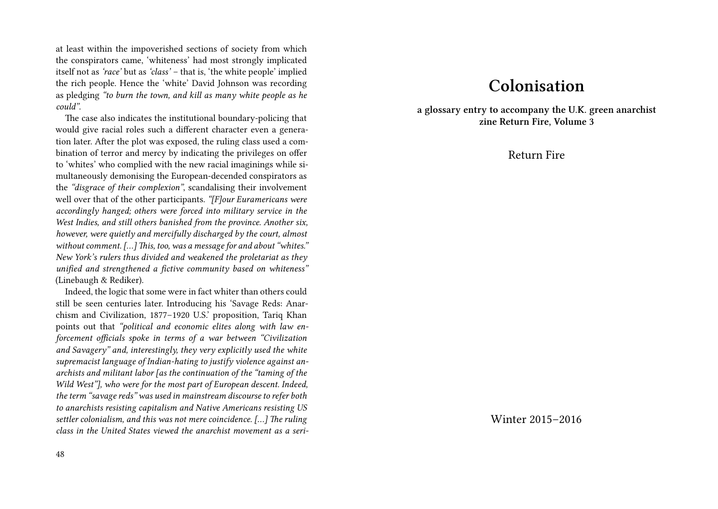at least within the impoverished sections of society from which the conspirators came, 'whiteness' had most strongly implicated itself not as *'race'* but as *'class'* – that is, 'the white people' implied the rich people. Hence the 'white' David Johnson was recording as pledging *"to burn the town, and kill as many white people as he could"*.

The case also indicates the institutional boundary-policing that would give racial roles such a different character even a generation later. After the plot was exposed, the ruling class used a combination of terror and mercy by indicating the privileges on offer to 'whites' who complied with the new racial imaginings while simultaneously demonising the European-decended conspirators as the *"disgrace of their complexion"*, scandalising their involvement well over that of the other participants. *"[F]our Euramericans were accordingly hanged; others were forced into military service in the West Indies, and still others banished from the province. Another six, however, were quietly and mercifully discharged by the court, almost without comment. […] This, too, was a message for and about "whites." New York's rulers thus divided and weakened the proletariat as they unified and strengthened a fictive community based on whiteness"* (Linebaugh & Rediker).

Indeed, the logic that some were in fact whiter than others could still be seen centuries later. Introducing his 'Savage Reds: Anarchism and Civilization, 1877–1920 U.S.' proposition, Tariq Khan points out that *"political and economic elites along with law enforcement officials spoke in terms of a war between "Civilization and Savagery" and, interestingly, they very explicitly used the white supremacist language of Indian-hating to justify violence against anarchists and militant labor [as the continuation of the "taming of the Wild West"], who were for the most part of European descent. Indeed, the term "savage reds" was used in mainstream discourse to refer both to anarchists resisting capitalism and Native Americans resisting US settler colonialism, and this was not mere coincidence. […] The ruling class in the United States viewed the anarchist movement as a seri-*

# **Colonisation**

#### **a glossary entry to accompany the U.K. green anarchist zine Return Fire, Volume 3**

Return Fire

Winter 2015–2016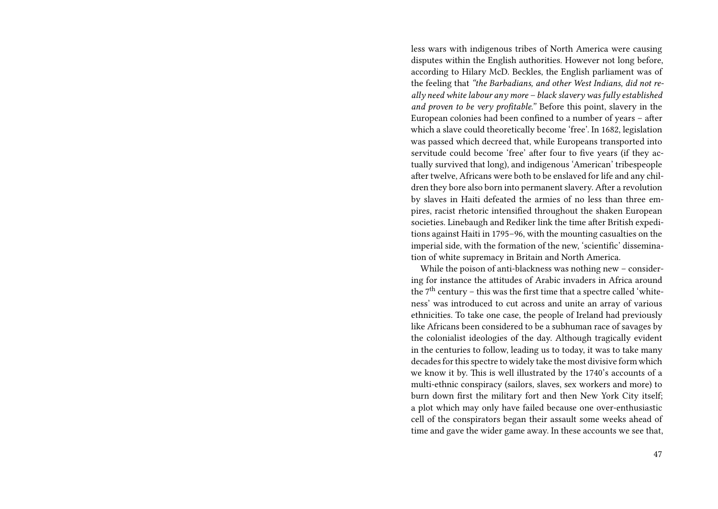less wars with indigenous tribes of North America were causing disputes within the English authorities. However not long before, according to Hilary McD. Beckles, the English parliament was of the feeling that *"the Barbadians, and other West Indians, did not really need white labour any more – black slavery was fully established and proven to be very profitable."* Before this point, slavery in the European colonies had been confined to a number of years – after which a slave could theoretically become 'free'. In 1682, legislation was passed which decreed that, while Europeans transported into servitude could become 'free' after four to five years (if they actually survived that long), and indigenous 'American' tribespeople after twelve, Africans were both to be enslaved for life and any children they bore also born into permanent slavery. After a revolution by slaves in Haiti defeated the armies of no less than three empires, racist rhetoric intensified throughout the shaken European societies. Linebaugh and Rediker link the time after British expeditions against Haiti in 1795–96, with the mounting casualties on the imperial side, with the formation of the new, 'scientific' dissemination of white supremacy in Britain and North America.

While the poison of anti-blackness was nothing new – considering for instance the attitudes of Arabic invaders in Africa around the  $7<sup>th</sup>$  century – this was the first time that a spectre called 'whiteness' was introduced to cut across and unite an array of various ethnicities. To take one case, the people of Ireland had previously like Africans been considered to be a subhuman race of savages by the colonialist ideologies of the day. Although tragically evident in the centuries to follow, leading us to today, it was to take many decades for this spectre to widely take the most divisive form which we know it by. This is well illustrated by the 1740's accounts of a multi-ethnic conspiracy (sailors, slaves, sex workers and more) to burn down first the military fort and then New York City itself; a plot which may only have failed because one over-enthusiastic cell of the conspirators began their assault some weeks ahead of time and gave the wider game away. In these accounts we see that,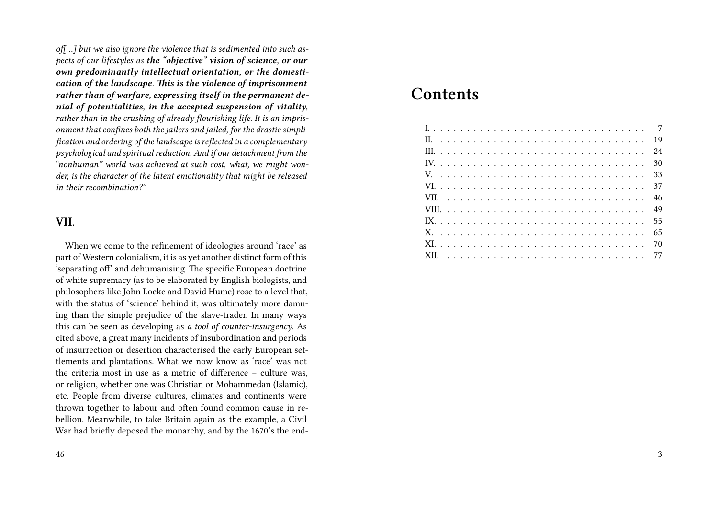*of[…] but we also ignore the violence that is sedimented into such aspects of our lifestyles as the "objective" vision of science, or our own predominantly intellectual orientation, or the domestication of the landscape. This is the violence of imprisonment rather than of warfare, expressing itself in the permanent denial of potentialities, in the accepted suspension of vitality, rather than in the crushing of already flourishing life. It is an imprisonment that confines both the jailers and jailed, for the drastic simplification and ordering of the landscape is reflected in a complementary psychological and spiritual reduction. And if our detachment from the "nonhuman" world was achieved at such cost, what, we might wonder, is the character of the latent emotionality that might be released in their recombination?"*

### **VII.**

When we come to the refinement of ideologies around 'race' as part of Western colonialism, it is as yet another distinct form of this 'separating off' and dehumanising. The specific European doctrine of white supremacy (as to be elaborated by English biologists, and philosophers like John Locke and David Hume) rose to a level that, with the status of 'science' behind it, was ultimately more damning than the simple prejudice of the slave-trader. In many ways this can be seen as developing as *a tool of counter-insurgency*. As cited above, a great many incidents of insubordination and periods of insurrection or desertion characterised the early European settlements and plantations. What we now know as 'race' was not the criteria most in use as a metric of difference – culture was, or religion, whether one was Christian or Mohammedan (Islamic), etc. People from diverse cultures, climates and continents were thrown together to labour and often found common cause in rebellion. Meanwhile, to take Britain again as the example, a Civil War had briefly deposed the monarchy, and by the 1670's the end-

## **Contents**

| Ш |  |  |  |  |  |  |  |  |  |  |  |  |  |  |  |
|---|--|--|--|--|--|--|--|--|--|--|--|--|--|--|--|
|   |  |  |  |  |  |  |  |  |  |  |  |  |  |  |  |
|   |  |  |  |  |  |  |  |  |  |  |  |  |  |  |  |
|   |  |  |  |  |  |  |  |  |  |  |  |  |  |  |  |
|   |  |  |  |  |  |  |  |  |  |  |  |  |  |  |  |
|   |  |  |  |  |  |  |  |  |  |  |  |  |  |  |  |
|   |  |  |  |  |  |  |  |  |  |  |  |  |  |  |  |
|   |  |  |  |  |  |  |  |  |  |  |  |  |  |  |  |
|   |  |  |  |  |  |  |  |  |  |  |  |  |  |  |  |
|   |  |  |  |  |  |  |  |  |  |  |  |  |  |  |  |
|   |  |  |  |  |  |  |  |  |  |  |  |  |  |  |  |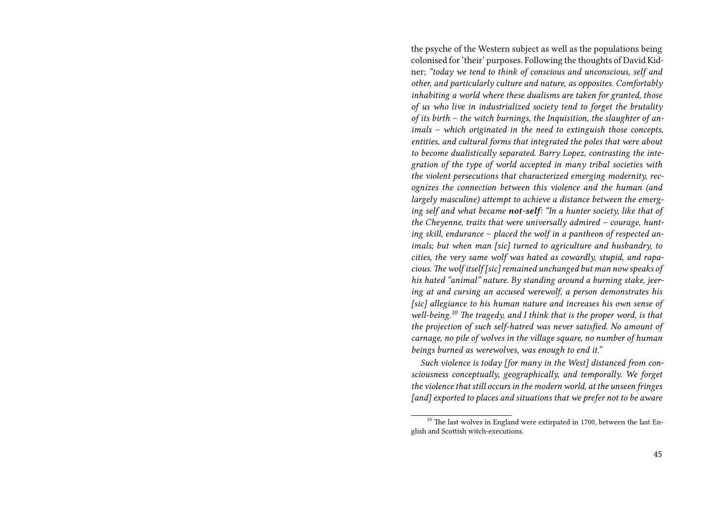the psyche of the Western subject as well as the populations being colonised for 'their' purposes. Following the thoughts of David Kidner; *"today we tend to think of conscious and unconscious, self and other, and particularly culture and nature, as opposites. Comfortably inhabiting a world where these dualisms are taken for granted, those of us who live in industrialized society tend to forget the brutality of its birth – the witch burnings, the Inquisition, the slaughter of animals – which originated in the need to extinguish those concepts, entities, and cultural forms that integrated the poles that were about to become dualistically separated. Barry Lopez, contrasting the integration of the type of world accepted in many tribal societies with the violent persecutions that characterized emerging modernity, recognizes the connection between this violence and the human (and largely masculine) attempt to achieve a distance between the emerging self and what became not-self: "In a hunter society, like that of the Cheyenne, traits that were universally admired – courage, hunting skill, endurance – placed the wolf in a pantheon of respected animals; but when man [sic] turned to agriculture and husbandry, to cities, the very same wolf was hated as cowardly, stupid, and rapacious. The wolf itself [sic] remained unchanged but man now speaks of his hated "animal" nature. By standing around a burning stake, jeering at and cursing an accused werewolf, a person demonstrates his [sic] allegiance to his human nature and increases his own sense of well-being.<sup>10</sup> The tragedy, and I think that is the proper word, is that the projection of such self-hatred was never satisfied. No amount of carnage, no pile of wolves in the village square, no number of human beings burned as werewolves, was enough to end it."*

*Such violence is today [for many in the West] distanced from consciousness conceptually, geographically, and temporally. We forget the violence that still occurs in the modern world, at the unseen fringes [and] exported to places and situations that we prefer not to be aware*

 $10$  The last wolves in England were extirpated in 1700, between the last English and Scottish witch-executions.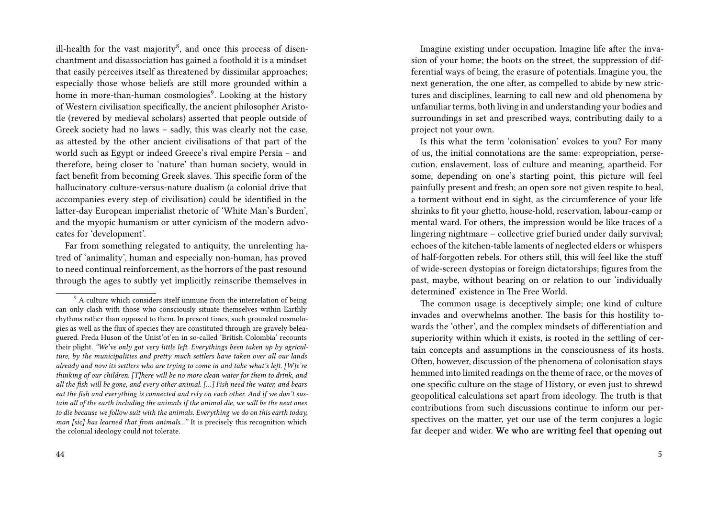ill-health for the vast majority<sup>8</sup>, and once this process of disenchantment and disassociation has gained a foothold it is a mindset that easily perceives itself as threatened by dissimilar approaches; especially those whose beliefs are still more grounded within a home in more-than-human cosmologies<sup>9</sup>. Looking at the history of Western civilisation specifically, the ancient philosopher Aristotle (revered by medieval scholars) asserted that people outside of Greek society had no laws – sadly, this was clearly not the case, as attested by the other ancient civilisations of that part of the world such as Egypt or indeed Greece's rival empire Persia – and therefore, being closer to 'nature' than human society, would in fact benefit from becoming Greek slaves. This specific form of the hallucinatory culture-versus-nature dualism (a colonial drive that accompanies every step of civilisation) could be identified in the latter-day European imperialist rhetoric of 'White Man's Burden', and the myopic humanism or utter cynicism of the modern advocates for 'development'.

Far from something relegated to antiquity, the unrelenting hatred of 'animality', human and especially non-human, has proved to need continual reinforcement, as the horrors of the past resound through the ages to subtly yet implicitly reinscribe themselves in

Imagine existing under occupation. Imagine life after the invasion of your home; the boots on the street, the suppression of differential ways of being, the erasure of potentials. Imagine you, the next generation, the one after, as compelled to abide by new strictures and disciplines, learning to call new and old phenomena by unfamiliar terms, both living in and understanding your bodies and surroundings in set and prescribed ways, contributing daily to a project not your own.

Is this what the term 'colonisation' evokes to you? For many of us, the initial connotations are the same: expropriation, persecution, enslavement, loss of culture and meaning, apartheid. For some, depending on one's starting point, this picture will feel painfully present and fresh; an open sore not given respite to heal, a torment without end in sight, as the circumference of your life shrinks to fit your ghetto, house-hold, reservation, labour-camp or mental ward. For others, the impression would be like traces of a lingering nightmare – collective grief buried under daily survival; echoes of the kitchen-table laments of neglected elders or whispers of half-forgotten rebels. For others still, this will feel like the stuff of wide-screen dystopias or foreign dictatorships; figures from the past, maybe, without bearing on or relation to our 'individually determined' existence in The Free World.

The common usage is deceptively simple; one kind of culture invades and overwhelms another. The basis for this hostility towards the 'other', and the complex mindsets of differentiation and superiority within which it exists, is rooted in the settling of certain concepts and assumptions in the consciousness of its hosts. Often, however, discussion of the phenomena of colonisation stays hemmed into limited readings on the theme of race, or the moves of one specific culture on the stage of History, or even just to shrewd geopolitical calculations set apart from ideology. The truth is that contributions from such discussions continue to inform our perspectives on the matter, yet our use of the term conjures a logic far deeper and wider. **We who are writing feel that opening out**

 $9<sup>9</sup>$  A culture which considers itself immune from the interrelation of being can only clash with those who consciously situate themselves within Earthly rhythms rather than opposed to them. In present times, such grounded cosmologies as well as the flux of species they are constituted through are gravely beleaguered. Freda Huson of the Unist'ot'en in so-called 'British Colombia' recounts their plight. *"We've only got very little left. Everythings been taken up by agriculture, by the municipalities and pretty much settlers have taken over all our lands already and now its settlers who are trying to come in and take what's left. [W]e're thinking of our children. [T]here will be no more clean water for them to drink, and all the fish will be gone, and every other animal. […] Fish need the water, and bears eat the fish and everything is connected and rely on each other. And if we don't sustain all of the earth including the animals if the animal die, we will be the next ones to die because we follow suit with the animals. Everything we do on this earth today, man [sic] has learned that from animals…"* It is precisely this recognition which the colonial ideology could not tolerate.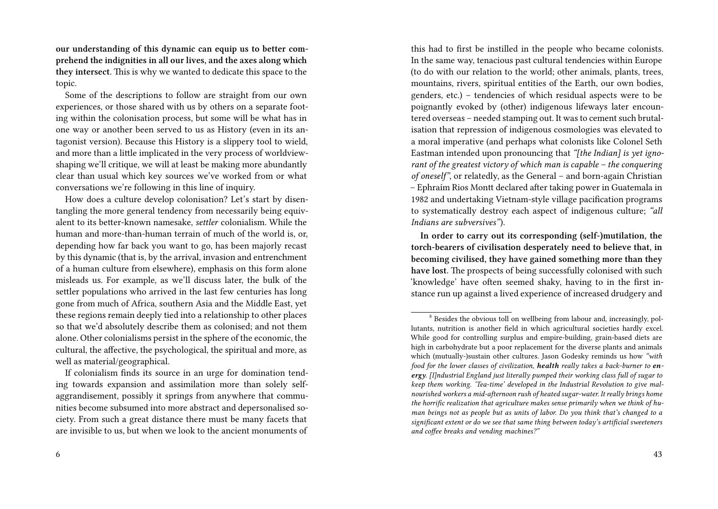**our understanding of this dynamic can equip us to better comprehend the indignities in all our lives, and the axes along which they intersect.** This is why we wanted to dedicate this space to the topic.

Some of the descriptions to follow are straight from our own experiences, or those shared with us by others on a separate footing within the colonisation process, but some will be what has in one way or another been served to us as History (even in its antagonist version). Because this History is a slippery tool to wield, and more than a little implicated in the very process of worldviewshaping we'll critique, we will at least be making more abundantly clear than usual which key sources we've worked from or what conversations we're following in this line of inquiry.

How does a culture develop colonisation? Let's start by disentangling the more general tendency from necessarily being equivalent to its better-known namesake, *settler* colonialism. While the human and more-than-human terrain of much of the world is, or, depending how far back you want to go, has been majorly recast by this dynamic (that is, by the arrival, invasion and entrenchment of a human culture from elsewhere), emphasis on this form alone misleads us. For example, as we'll discuss later, the bulk of the settler populations who arrived in the last few centuries has long gone from much of Africa, southern Asia and the Middle East, yet these regions remain deeply tied into a relationship to other places so that we'd absolutely describe them as colonised; and not them alone. Other colonialisms persist in the sphere of the economic, the cultural, the affective, the psychological, the spiritual and more, as well as material/geographical.

If colonialism finds its source in an urge for domination tending towards expansion and assimilation more than solely selfaggrandisement, possibly it springs from anywhere that communities become subsumed into more abstract and depersonalised society. From such a great distance there must be many facets that are invisible to us, but when we look to the ancient monuments of

this had to first be instilled in the people who became colonists. In the same way, tenacious past cultural tendencies within Europe (to do with our relation to the world; other animals, plants, trees, mountains, rivers, spiritual entities of the Earth, our own bodies, genders, etc.) – tendencies of which residual aspects were to be poignantly evoked by (other) indigenous lifeways later encountered overseas – needed stamping out. It was to cement such brutalisation that repression of indigenous cosmologies was elevated to a moral imperative (and perhaps what colonists like Colonel Seth Eastman intended upon pronouncing that *"[the Indian] is yet ignorant of the greatest victory of which man is capable – the conquering of oneself"*, or relatedly, as the General – and born-again Christian – Ephraím Rios Montt declared after taking power in Guatemala in 1982 and undertaking Vietnam-style village pacification programs to systematically destroy each aspect of indigenous culture; *"all Indians are subversives"*).

**In order to carry out its corresponding (self-)mutilation, the torch-bearers of civilisation desperately need to believe that, in becoming civilised, they have gained something more than they have lost.** The prospects of being successfully colonised with such 'knowledge' have often seemed shaky, having to in the first instance run up against a lived experience of increased drudgery and

<sup>&</sup>lt;sup>8</sup> Besides the obvious toll on wellbeing from labour and, increasingly, pollutants, nutrition is another field in which agricultural societies hardly excel. While good for controlling surplus and empire-building, grain-based diets are high in carbohydrate but a poor replacement for the diverse plants and animals which (mutually-)sustain other cultures. Jason Godesky reminds us how *"with food for the lower classes of civilization, health really takes a back-burner to energy. [I]ndustrial England just literally pumped their working class full of sugar to keep them working. 'Tea-time' developed in the Industrial Revolution to give malnourished workers a mid-afternoon rush of heated sugar-water. It really brings home the horrific realization that agriculture makes sense primarily when we think of human beings not as people but as units of labor. Do you think that's changed to a significant extent or do we see that same thing between today's artificial sweeteners and coffee breaks and vending machines?"*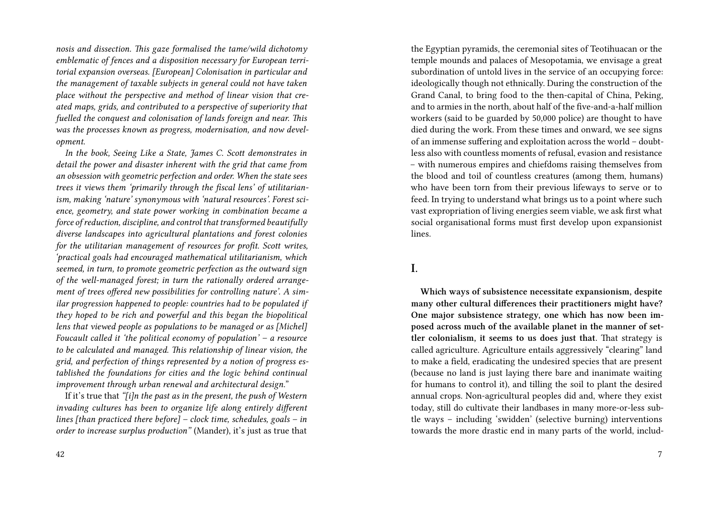*nosis and dissection. This gaze formalised the tame/wild dichotomy emblematic of fences and a disposition necessary for European territorial expansion overseas. [European] Colonisation in particular and the management of taxable subjects in general could not have taken place without the perspective and method of linear vision that created maps, grids, and contributed to a perspective of superiority that fuelled the conquest and colonisation of lands foreign and near. This was the processes known as progress, modernisation, and now development.*

*In the book, Seeing Like a State, James C. Scott demonstrates in detail the power and disaster inherent with the grid that came from an obsession with geometric perfection and order. When the state sees trees it views them 'primarily through the fiscal lens' of utilitarianism, making 'nature' synonymous with 'natural resources'. Forest science, geometry, and state power working in combination became a force of reduction, discipline, and control that transformed beautifully diverse landscapes into agricultural plantations and forest colonies for the utilitarian management of resources for profit. Scott writes, 'practical goals had encouraged mathematical utilitarianism, which seemed, in turn, to promote geometric perfection as the outward sign of the well-managed forest; in turn the rationally ordered arrangement of trees offered new possibilities for controlling nature'. A similar progression happened to people: countries had to be populated if they hoped to be rich and powerful and this began the biopolitical lens that viewed people as populations to be managed or as [Michel] Foucault called it 'the political economy of population' – a resource to be calculated and managed. This relationship of linear vision, the grid, and perfection of things represented by a notion of progress established the foundations for cities and the logic behind continual improvement through urban renewal and architectural design.*"

If it's true that *"[i]n the past as in the present, the push of Western invading cultures has been to organize life along entirely different lines [than practiced there before] – clock time, schedules, goals – in order to increase surplus production"* (Mander), it's just as true that

the Egyptian pyramids, the ceremonial sites of Teotihuacan or the temple mounds and palaces of Mesopotamia, we envisage a great subordination of untold lives in the service of an occupying force: ideologically though not ethnically. During the construction of the Grand Canal, to bring food to the then-capital of China, Peking, and to armies in the north, about half of the five-and-a-half million workers (said to be guarded by 50,000 police) are thought to have died during the work. From these times and onward, we see signs of an immense suffering and exploitation across the world – doubtless also with countless moments of refusal, evasion and resistance – with numerous empires and chiefdoms raising themselves from the blood and toil of countless creatures (among them, humans) who have been torn from their previous lifeways to serve or to feed. In trying to understand what brings us to a point where such vast expropriation of living energies seem viable, we ask first what social organisational forms must first develop upon expansionist lines.

#### **I.**

**Which ways of subsistence necessitate expansionism, despite many other cultural differences their practitioners might have? One major subsistence strategy, one which has now been imposed across much of the available planet in the manner of settler colonialism, it seems to us does just that.** That strategy is called agriculture. Agriculture entails aggressively "clearing" land to make a field, eradicating the undesired species that are present (because no land is just laying there bare and inanimate waiting for humans to control it), and tilling the soil to plant the desired annual crops. Non-agricultural peoples did and, where they exist today, still do cultivate their landbases in many more-or-less subtle ways – including 'swidden' (selective burning) interventions towards the more drastic end in many parts of the world, includ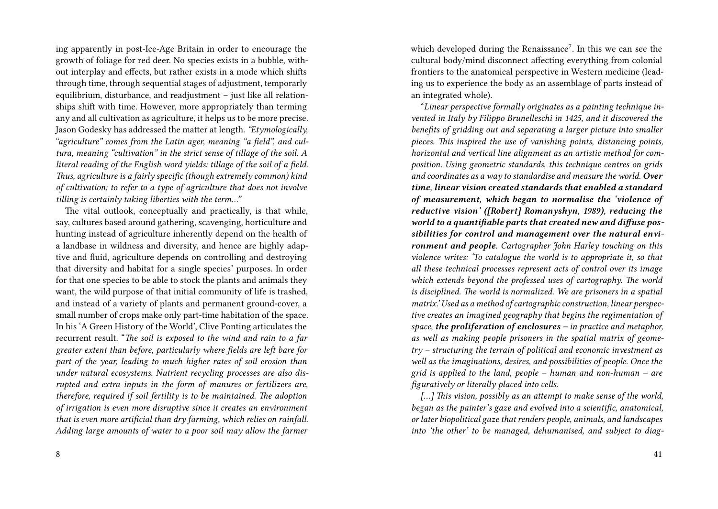ing apparently in post-Ice-Age Britain in order to encourage the growth of foliage for red deer. No species exists in a bubble, without interplay and effects, but rather exists in a mode which shifts through time, through sequential stages of adjustment, temporarly equilibrium, disturbance, and readjustment – just like all relationships shift with time. However, more appropriately than terming any and all cultivation as agriculture, it helps us to be more precise. Jason Godesky has addressed the matter at length. *"Etymologically, "agriculture" comes from the Latin ager, meaning "a field", and cultura, meaning "cultivation" in the strict sense of tillage of the soil. A literal reading of the English word yields: tillage of the soil of a field. Thus, agriculture is a fairly specific (though extremely common) kind of cultivation; to refer to a type of agriculture that does not involve tilling is certainly taking liberties with the term…"*

The vital outlook, conceptually and practically, is that while, say, cultures based around gathering, scavenging, horticulture and hunting instead of agriculture inherently depend on the health of a landbase in wildness and diversity, and hence are highly adaptive and fluid, agriculture depends on controlling and destroying that diversity and habitat for a single species' purposes. In order for that one species to be able to stock the plants and animals they want, the wild purpose of that initial community of life is trashed, and instead of a variety of plants and permanent ground-cover, a small number of crops make only part-time habitation of the space. In his 'A Green History of the World', Clive Ponting articulates the recurrent result. "*The soil is exposed to the wind and rain to a far greater extent than before, particularly where fields are left bare for part of the year, leading to much higher rates of soil erosion than under natural ecosystems. Nutrient recycling processes are also disrupted and extra inputs in the form of manures or fertilizers are, therefore, required if soil fertility is to be maintained. The adoption of irrigation is even more disruptive since it creates an environment that is even more artificial than dry farming, which relies on rainfall. Adding large amounts of water to a poor soil may allow the farmer*

which developed during the Renaissance<sup>7</sup>. In this we can see the cultural body/mind disconnect affecting everything from colonial frontiers to the anatomical perspective in Western medicine (leading us to experience the body as an assemblage of parts instead of an integrated whole).

"*Linear perspective formally originates as a painting technique invented in Italy by Filippo Brunelleschi in 1425, and it discovered the benefits of gridding out and separating a larger picture into smaller pieces. This inspired the use of vanishing points, distancing points, horizontal and vertical line alignment as an artistic method for composition. Using geometric standards, this technique centres on grids and coordinates as a way to standardise and measure the world. Over time, linear vision created standards that enabled a standard of measurement, which began to normalise the 'violence of reductive vision' ([Robert] Romanyshyn, 1989), reducing the world to a quantifiable parts that created new and diffuse possibilities for control and management over the natural environment and people. Cartographer John Harley touching on this violence writes: 'To catalogue the world is to appropriate it, so that all these technical processes represent acts of control over its image which extends beyond the professed uses of cartography. The world is disciplined. The world is normalized. We are prisoners in a spatial matrix.' Used as a method of cartographic construction, linear perspective creates an imagined geography that begins the regimentation of space, the proliferation of enclosures – in practice and metaphor, as well as making people prisoners in the spatial matrix of geometry – structuring the terrain of political and economic investment as well as the imaginations, desires, and possibilities of people. Once the grid is applied to the land, people – human and non-human – are figuratively or literally placed into cells.*

*[…] This vision, possibly as an attempt to make sense of the world, began as the painter's gaze and evolved into a scientific, anatomical, or later biopolitical gaze that renders people, animals, and landscapes into 'the other' to be managed, dehumanised, and subject to diag-*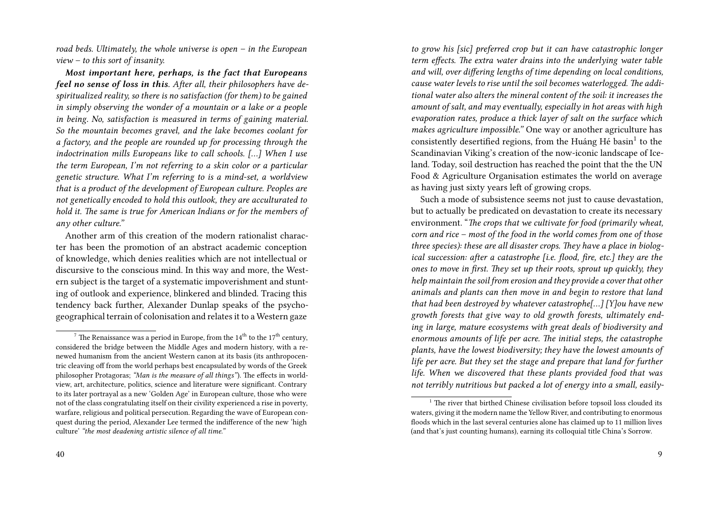*road beds. Ultimately, the whole universe is open – in the European view – to this sort of insanity.*

*Most important here, perhaps, is the fact that Europeans feel no sense of loss in this. After all, their philosophers have despiritualized reality, so there is no satisfaction (for them) to be gained in simply observing the wonder of a mountain or a lake or a people in being. No, satisfaction is measured in terms of gaining material. So the mountain becomes gravel, and the lake becomes coolant for a factory, and the people are rounded up for processing through the indoctrination mills Europeans like to call schools. […] When I use the term European, I'm not referring to a skin color or a particular genetic structure. What I'm referring to is a mind-set, a worldview that is a product of the development of European culture. Peoples are not genetically encoded to hold this outlook, they are acculturated to hold it. The same is true for American Indians or for the members of any other culture."*

Another arm of this creation of the modern rationalist character has been the promotion of an abstract academic conception of knowledge, which denies realities which are not intellectual or discursive to the conscious mind. In this way and more, the Western subject is the target of a systematic impoverishment and stunting of outlook and experience, blinkered and blinded. Tracing this tendency back further, Alexander Dunlap speaks of the psychogeographical terrain of colonisation and relates it to a Western gaze

*to grow his [sic] preferred crop but it can have catastrophic longer term effects. The extra water drains into the underlying water table and will, over differing lengths of time depending on local conditions, cause water levels to rise until the soil becomes waterlogged. The additional water also alters the mineral content of the soil: it increases the amount of salt, and may eventually, especially in hot areas with high evaporation rates, produce a thick layer of salt on the surface which makes agriculture impossible."* One way or another agriculture has consistently desertified regions, from the Huáng Hé basin<sup>1</sup> to the Scandinavian Viking's creation of the now-iconic landscape of Iceland. Today, soil destruction has reached the point that the the UN Food & Agriculture Organisation estimates the world on average as having just sixty years left of growing crops.

Such a mode of subsistence seems not just to cause devastation, but to actually be predicated on devastation to create its necessary environment. "*The crops that we cultivate for food (primarily wheat, corn and rice – most of the food in the world comes from one of those three species): these are all disaster crops. They have a place in biological succession: after a catastrophe [i.e. flood, fire, etc.] they are the ones to move in first. They set up their roots, sprout up quickly, they help maintain the soil from erosion and they provide a cover that other animals and plants can then move in and begin to restore that land that had been destroyed by whatever catastrophe[…] [Y]ou have new growth forests that give way to old growth forests, ultimately ending in large, mature ecosystems with great deals of biodiversity and enormous amounts of life per acre. The initial steps, the catastrophe plants, have the lowest biodiversity; they have the lowest amounts of life per acre. But they set the stage and prepare that land for further life. When we discovered that these plants provided food that was not terribly nutritious but packed a lot of energy into a small, easily-*

<sup>&</sup>lt;sup>7</sup> The Renaissance was a period in Europe, from the  $14<sup>th</sup>$  to the  $17<sup>th</sup>$  century, considered the bridge between the Middle Ages and modern history, with a renewed humanism from the ancient Western canon at its basis (its anthropocentric cleaving off from the world perhaps best encapsulated by words of the Greek philosopher Protagoras; *"Man is the measure of all things"*). The effects in worldview, art, architecture, politics, science and literature were significant. Contrary to its later portrayal as a new 'Golden Age' in European culture, those who were not of the class congratulating itself on their civility experienced a rise in poverty, warfare, religious and political persecution. Regarding the wave of European conquest during the period, Alexander Lee termed the indifference of the new 'high culture' *"the most deadening artistic silence of all time."*

 $1$ <sup>1</sup> The river that birthed Chinese civilisation before topsoil loss clouded its waters, giving it the modern name the Yellow River, and contributing to enormous floods which in the last several centuries alone has claimed up to 11 million lives (and that's just counting humans), earning its colloquial title China's Sorrow.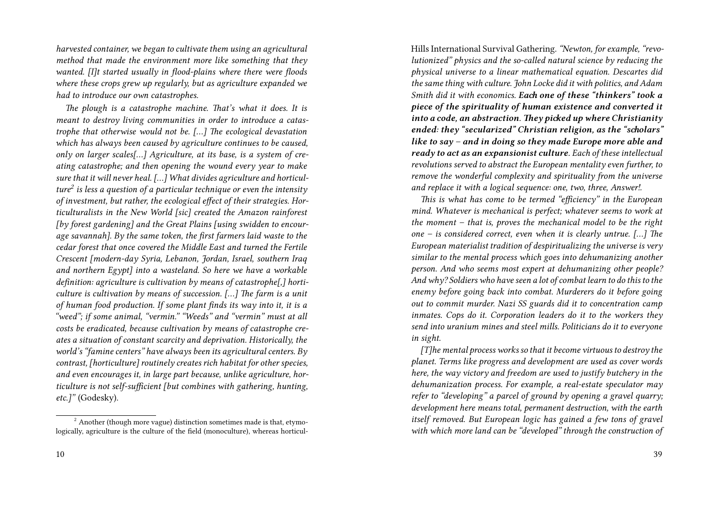*harvested container, we began to cultivate them using an agricultural method that made the environment more like something that they wanted. [I]t started usually in flood-plains where there were floods where these crops grew up regularly, but as agriculture expanded we had to introduce our own catastrophes.*

*The plough is a catastrophe machine. That's what it does. It is meant to destroy living communities in order to introduce a catastrophe that otherwise would not be. […] The ecological devastation which has always been caused by agriculture continues to be caused, only on larger scales[…] Agriculture, at its base, is a system of creating catastrophe; and then opening the wound every year to make sure that it will never heal. […] What divides agriculture and horticulture<sup>2</sup> is less a question of a particular technique or even the intensity of investment, but rather, the ecological effect of their strategies. Horticulturalists in the New World [sic] created the Amazon rainforest [by forest gardening] and the Great Plains [using swidden to encourage savannah]. By the same token, the first farmers laid waste to the cedar forest that once covered the Middle East and turned the Fertile Crescent [modern-day Syria, Lebanon, Jordan, Israel, southern Iraq and northern Egypt] into a wasteland. So here we have a workable definition: agriculture is cultivation by means of catastrophe[,] horticulture is cultivation by means of succession. […] The farm is a unit of human food production. If some plant finds its way into it, it is a "weed"; if some animal, "vermin." "Weeds" and "vermin" must at all costs be eradicated, because cultivation by means of catastrophe creates a situation of constant scarcity and deprivation. Historically, the world's "famine centers" have always been its agricultural centers. By contrast, [horticulture] routinely creates rich habitat for other species, and even encourages it, in large part because, unlike agriculture, horticulture is not self-sufficient [but combines with gathering, hunting, etc.]"* (Godesky).

Hills International Survival Gathering. *"Newton, for example, "revolutionized" physics and the so-called natural science by reducing the physical universe to a linear mathematical equation. Descartes did the same thing with culture. John Locke did it with politics, and Adam Smith did it with economics. Each one of these "thinkers" took a piece of the spirituality of human existence and converted it into a code, an abstraction. They picked up where Christianity ended: they "secularized" Christian religion, as the "scholars" like to say – and in doing so they made Europe more able and ready to act as an expansionist culture. Each of these intellectual revolutions served to abstract the European mentality even further, to remove the wonderful complexity and spirituality from the universe and replace it with a logical sequence: one, two, three, Answer!.*

*This is what has come to be termed "efficiency" in the European mind. Whatever is mechanical is perfect; whatever seems to work at the moment – that is, proves the mechanical model to be the right one – is considered correct, even when it is clearly untrue. […] The European materialist tradition of despiritualizing the universe is very similar to the mental process which goes into dehumanizing another person. And who seems most expert at dehumanizing other people? And why? Soldiers who have seen a lot of combat learn to do this to the enemy before going back into combat. Murderers do it before going out to commit murder. Nazi SS guards did it to concentration camp inmates. Cops do it. Corporation leaders do it to the workers they send into uranium mines and steel mills. Politicians do it to everyone in sight.*

*[T]he mental process works so that it become virtuous to destroy the planet. Terms like progress and development are used as cover words here, the way victory and freedom are used to justify butchery in the dehumanization process. For example, a real-estate speculator may refer to "developing" a parcel of ground by opening a gravel quarry; development here means total, permanent destruction, with the earth itself removed. But European logic has gained a few tons of gravel with which more land can be "developed" through the construction of*

<sup>&</sup>lt;sup>2</sup> Another (though more vague) distinction sometimes made is that, etymologically, agriculture is the culture of the field (monoculture), whereas horticul-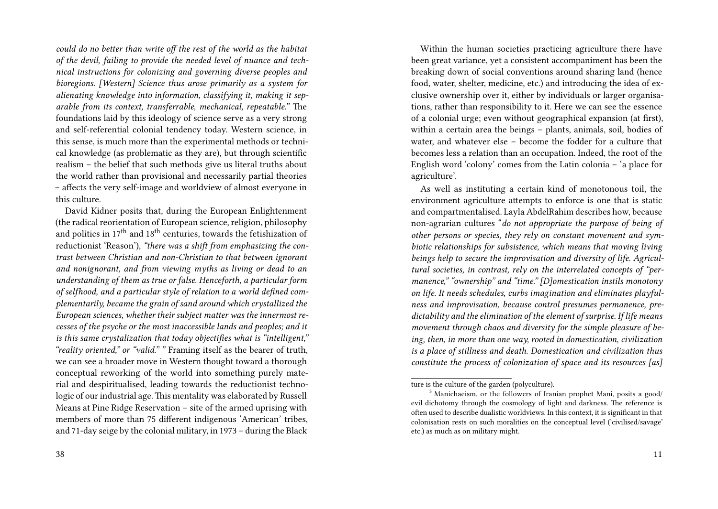*could do no better than write off the rest of the world as the habitat of the devil, failing to provide the needed level of nuance and technical instructions for colonizing and governing diverse peoples and bioregions. [Western] Science thus arose primarily as a system for alienating knowledge into information, classifying it, making it separable from its context, transferrable, mechanical, repeatable."* The foundations laid by this ideology of science serve as a very strong and self-referential colonial tendency today. Western science, in this sense, is much more than the experimental methods or technical knowledge (as problematic as they are), but through scientific realism – the belief that such methods give us literal truths about the world rather than provisional and necessarily partial theories – affects the very self-image and worldview of almost everyone in this culture.

David Kidner posits that, during the European Enlightenment (the radical reorientation of European science, religion, philosophy and politics in  $17<sup>th</sup>$  and  $18<sup>th</sup>$  centuries, towards the fetishization of reductionist 'Reason'), *"there was a shift from emphasizing the contrast between Christian and non-Christian to that between ignorant and nonignorant, and from viewing myths as living or dead to an understanding of them as true or false. Henceforth, a particular form of selfhood, and a particular style of relation to a world defined complementarily, became the grain of sand around which crystallized the European sciences, whether their subject matter was the innermost recesses of the psyche or the most inaccessible lands and peoples; and it is this same crystalization that today objectifies what is "intelligent," "reality oriented," or "valid." "* Framing itself as the bearer of truth, we can see a broader move in Western thought toward a thorough conceptual reworking of the world into something purely material and despiritualised, leading towards the reductionist technologic of our industrial age. This mentality was elaborated by Russell Means at Pine Ridge Reservation – site of the armed uprising with members of more than 75 different indigenous 'American' tribes, and 71-day seige by the colonial military, in 1973 – during the Black

Within the human societies practicing agriculture there have been great variance, yet a consistent accompaniment has been the breaking down of social conventions around sharing land (hence food, water, shelter, medicine, etc.) and introducing the idea of exclusive ownership over it, either by individuals or larger organisations, rather than responsibility to it. Here we can see the essence of a colonial urge; even without geographical expansion (at first), within a certain area the beings – plants, animals, soil, bodies of water, and whatever else – become the fodder for a culture that becomes less a relation than an occupation. Indeed, the root of the English word 'colony' comes from the Latin colonia – 'a place for agriculture'.

As well as instituting a certain kind of monotonous toil, the environment agriculture attempts to enforce is one that is static and compartmentalised. Layla AbdelRahim describes how, because non-agrarian cultures "*do not appropriate the purpose of being of other persons or species, they rely on constant movement and symbiotic relationships for subsistence, which means that moving living beings help to secure the improvisation and diversity of life. Agricultural societies, in contrast, rely on the interrelated concepts of "permanence," "ownership" and "time." [D]omestication instils monotony on life. It needs schedules, curbs imagination and eliminates playfulness and improvisation, because control presumes permanence, predictability and the elimination of the element of surprise. If life means movement through chaos and diversity for the simple pleasure of being, then, in more than one way, rooted in domestication, civilization is a place of stillness and death. Domestication and civilization thus constitute the process of colonization of space and its resources [as]*

ture is the culture of the garden (polyculture).

<sup>&</sup>lt;sup>3</sup> Manichaeism, or the followers of Iranian prophet Mani, posits a good/ evil dichotomy through the cosmology of light and darkness. The reference is often used to describe dualistic worldviews. In this context, it is significant in that colonisation rests on such moralities on the conceptual level ('civilised/savage' etc.) as much as on military might.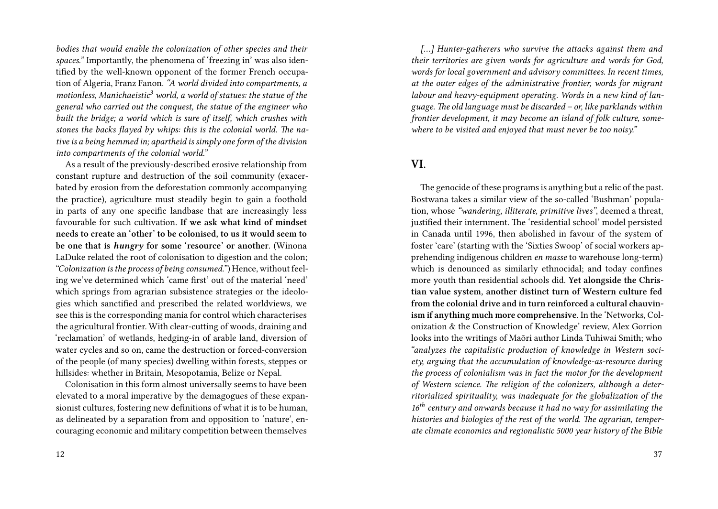*bodies that would enable the colonization of other species and their spaces."* Importantly, the phenomena of 'freezing in' was also identified by the well-known opponent of the former French occupation of Algeria, Franz Fanon. *"A world divided into compartments, a motionless, Manichaeistic<sup>3</sup> world, a world of statues: the statue of the general who carried out the conquest, the statue of the engineer who built the bridge; a world which is sure of itself, which crushes with stones the backs flayed by whips: this is the colonial world. The native is a being hemmed in; apartheid is simply one form of the division into compartments of the colonial world."*

As a result of the previously-described erosive relationship from constant rupture and destruction of the soil community (exacerbated by erosion from the deforestation commonly accompanying the practice), agriculture must steadily begin to gain a foothold in parts of any one specific landbase that are increasingly less favourable for such cultivation. **If we ask what kind of mindset needs to create an 'other' to be colonised, to us it would seem to be one that is** *hungry* **for some 'resource' or another.** (Winona LaDuke related the root of colonisation to digestion and the colon; *"Colonization is the process of being consumed."*) Hence, without feeling we've determined which 'came first' out of the material 'need' which springs from agrarian subsistence strategies or the ideologies which sanctified and prescribed the related worldviews, we see this is the corresponding mania for control which characterises the agricultural frontier. With clear-cutting of woods, draining and 'reclamation' of wetlands, hedging-in of arable land, diversion of water cycles and so on, came the destruction or forced-conversion of the people (of many species) dwelling within forests, steppes or hillsides: whether in Britain, Mesopotamia, Belize or Nepal.

Colonisation in this form almost universally seems to have been elevated to a moral imperative by the demagogues of these expansionist cultures, fostering new definitions of what it is to be human, as delineated by a separation from and opposition to 'nature', encouraging economic and military competition between themselves

*[…] Hunter-gatherers who survive the attacks against them and their territories are given words for agriculture and words for God, words for local government and advisory committees. In recent times, at the outer edges of the administrative frontier, words for migrant labour and heavy-equipment operating. Words in a new kind of language. The old language must be discarded – or, like parklands within frontier development, it may become an island of folk culture, somewhere to be visited and enjoyed that must never be too noisy."*

#### **VI.**

The genocide of these programs is anything but a relic of the past. Bostwana takes a similar view of the so-called 'Bushman' population, whose *"wandering, illiterate, primitive lives"*, deemed a threat, ju*s*tified their internment. The 'residential school' model persisted in Canada until 1996, then abolished in favour of the system of foster 'care' (starting with the 'Sixties Swoop' of social workers apprehending indigenous children *en masse* to warehouse long-term) which is denounced as similarly ethnocidal; and today confines more youth than residential schools did. **Yet alongside the Christian value system, another distinct turn of Western culture fed from the colonial drive and in turn reinforced a cultural chauvinism if anything much more comprehensive.** In the 'Networks, Colonization & the Construction of Knowledge' review, Alex Gorrion looks into the writings of Maōri author Linda Tuhiwai Smith; who *"analyzes the capitalistic production of knowledge in Western society, arguing that the accumulation of knowledge-as-resource during the process of colonialism was in fact the motor for the development of Western science. The religion of the colonizers, although a deterritorialized spirituality, was inadequate for the globalization of the 16th century and onwards because it had no way for assimilating the histories and biologies of the rest of the world. The agrarian, temperate climate economics and regionalistic 5000 year history of the Bible*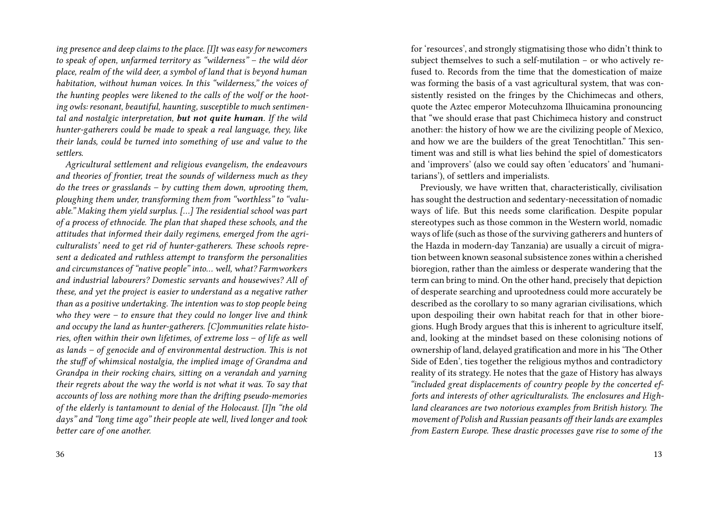*ing presence and deep claims to the place. [I]t was easy for newcomers to speak of open, unfarmed territory as "wilderness" – the wild déor place, realm of the wild deer, a symbol of land that is beyond human habitation, without human voices. In this "wilderness," the voices of the hunting peoples were likened to the calls of the wolf or the hooting owls: resonant, beautiful, haunting, susceptible to much sentimental and nostalgic interpretation, but not quite human. If the wild hunter-gatherers could be made to speak a real language, they, like their lands, could be turned into something of use and value to the settlers.*

*Agricultural settlement and religious evangelism, the endeavours and theories of frontier, treat the sounds of wilderness much as they do the trees or grasslands – by cutting them down, uprooting them, ploughing them under, transforming them from "worthless" to "valuable." Making them yield surplus. […] The residential school was part of a process of ethnocide. The plan that shaped these schools, and the attitudes that informed their daily regimens, emerged from the agriculturalists' need to get rid of hunter-gatherers. These schools represent a dedicated and ruthless attempt to transform the personalities and circumstances of "native people" into… well, what? Farmworkers and industrial labourers? Domestic servants and housewives? All of these, and yet the project is easier to understand as a negative rather than as a positive undertaking. The intention was to stop people being who they were – to ensure that they could no longer live and think and occupy the land as hunter-gatherers. [C]ommunities relate histories, often within their own lifetimes, of extreme loss – of life as well as lands – of genocide and of environmental destruction. This is not the stuff of whimsical nostalgia, the implied image of Grandma and Grandpa in their rocking chairs, sitting on a verandah and yarning their regrets about the way the world is not what it was. To say that accounts of loss are nothing more than the drifting pseudo-memories of the elderly is tantamount to denial of the Holocaust. [I]n "the old days" and "long time ago" their people ate well, lived longer and took better care of one another.*

for 'resources', and strongly stigmatising those who didn't think to subject themselves to such a self-mutilation – or who actively refused to. Records from the time that the domestication of maize was forming the basis of a vast agricultural system, that was consistently resisted on the fringes by the Chichimecas and others, quote the Aztec emperor Motecuhzoma Ilhuicamina pronouncing that "we should erase that past Chichimeca history and construct another: the history of how we are the civilizing people of Mexico, and how we are the builders of the great Tenochtitlan." This sentiment was and still is what lies behind the spiel of domesticators and 'improvers' (also we could say often 'educators' and 'humanitarians'), of settlers and imperialists.

Previously, we have written that, characteristically, civilisation has sought the destruction and sedentary-necessitation of nomadic ways of life. But this needs some clarification. Despite popular stereotypes such as those common in the Western world, nomadic ways of life (such as those of the surviving gatherers and hunters of the Hazda in modern-day Tanzania) are usually a circuit of migration between known seasonal subsistence zones within a cherished bioregion, rather than the aimless or desperate wandering that the term can bring to mind. On the other hand, precisely that depiction of desperate searching and uprootedness could more accurately be described as the corollary to so many agrarian civilisations, which upon despoiling their own habitat reach for that in other bioregions. Hugh Brody argues that this is inherent to agriculture itself, and, looking at the mindset based on these colonising notions of ownership of land, delayed gratification and more in his 'The Other Side of Eden', ties together the religious mythos and contradictory reality of its strategy. He notes that the gaze of History has always *"included great displacements of country people by the concerted efforts and interests of other agriculturalists. The enclosures and Highland clearances are two notorious examples from British history. The movement of Polish and Russian peasants off their lands are examples from Eastern Europe. These drastic processes gave rise to some of the*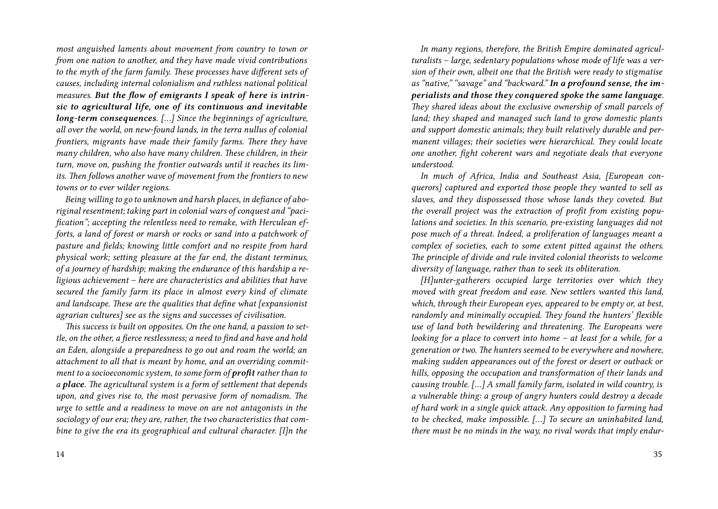*most anguished laments about movement from country to town or from one nation to another, and they have made vivid contributions to the myth of the farm family. These processes have different sets of causes, including internal colonialism and ruthless national political measures. But the flow of emigrants I speak of here is intrinsic to agricultural life, one of its continuous and inevitable long-term consequences. […] Since the beginnings of agriculture, all over the world, on new-found lands, in the terra nullus of colonial frontiers, migrants have made their family farms. There they have many children, who also have many children. These children, in their turn, move on, pushing the frontier outwards until it reaches its limits. Then follows another wave of movement from the frontiers to new towns or to ever wilder regions.*

*Being willing to go to unknown and harsh places, in defiance of aboriginal resentment; taking part in colonial wars of conquest and "pacification"; accepting the relentless need to remake, with Herculean efforts, a land of forest or marsh or rocks or sand into a patchwork of pasture and fields; knowing little comfort and no respite from hard physical work; setting pleasure at the far end, the distant terminus, of a journey of hardship; making the endurance of this hardship a religious achievement – here are characteristics and abilities that have secured the family farm its place in almost every kind of climate and landscape. These are the qualities that define what [expansionist agrarian cultures] see as the signs and successes of civilisation.*

*This success is built on opposites. On the one hand, a passion to settle, on the other, a fierce restlessness; a need to find and have and hold an Eden, alongside a preparedness to go out and roam the world; an attachment to all that is meant by home, and an overriding commitment to a socioeconomic system, to some form of profit rather than to a place. The agricultural system is a form of settlement that depends upon, and gives rise to, the most pervasive form of nomadism. The urge to settle and a readiness to move on are not antagonists in the sociology of our era; they are, rather, the two characteristics that combine to give the era its geographical and cultural character. [I]n the*

*In many regions, therefore, the British Empire dominated agriculturalists – large, sedentary populations whose mode of life was a version of their own, albeit one that the British were ready to stigmatise as "native," "savage" and "backward." In a profound sense, the imperialists and those they conquered spoke the same language. They shared ideas about the exclusive ownership of small parcels of land; they shaped and managed such land to grow domestic plants and support domestic animals; they built relatively durable and permanent villages; their societies were hierarchical. They could locate one another, fight coherent wars and negotiate deals that everyone understood.*

*In much of Africa, India and Southeast Asia, [European conquerors] captured and exported those people they wanted to sell as slaves, and they dispossessed those whose lands they coveted. But the overall project was the extraction of profit from existing populations and societies. In this scenario, pre-existing languages did not pose much of a threat. Indeed, a proliferation of languages meant a complex of societies, each to some extent pitted against the others. The principle of divide and rule invited colonial theorists to welcome diversity of language, rather than to seek its obliteration.*

*[H]unter-gatherers occupied large territories over which they moved with great freedom and ease. New settlers wanted this land, which, through their European eyes, appeared to be empty or, at best, randomly and minimally occupied. They found the hunters' flexible use of land both bewildering and threatening. The Europeans were looking for a place to convert into home – at least for a while, for a generation or two. The hunters seemed to be everywhere and nowhere, making sudden appearances out of the forest or desert or outback or hills, opposing the occupation and transformation of their lands and causing trouble. […] A small family farm, isolated in wild country, is a vulnerable thing: a group of angry hunters could destroy a decade of hard work in a single quick attack. Any opposition to farming had to be checked, make impossible. […] To secure an uninhabited land, there must be no minds in the way, no rival words that imply endur-*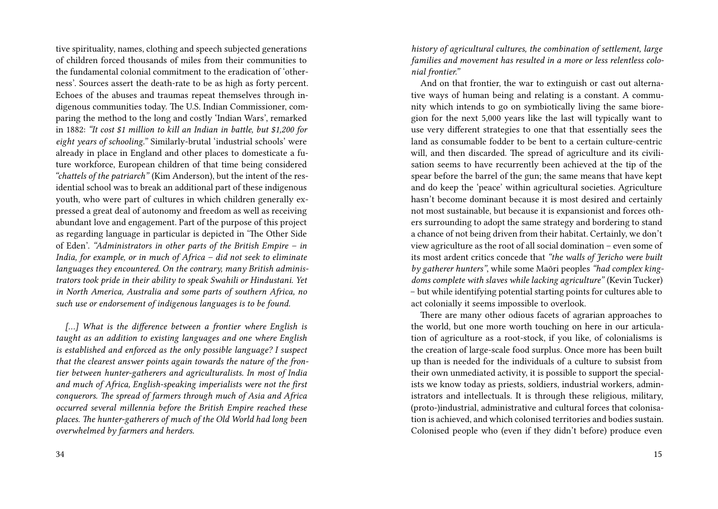tive spirituality, names, clothing and speech subjected generations of children forced thousands of miles from their communities to the fundamental colonial commitment to the eradication of 'otherness'. Sources assert the death-rate to be as high as forty percent. Echoes of the abuses and traumas repeat themselves through indigenous communities today. The U.S. Indian Commissioner, comparing the method to the long and costly 'Indian Wars', remarked in 1882: *"It cost \$1 million to kill an Indian in battle, but \$1,200 for eight years of schooling."* Similarly-brutal 'industrial schools' were already in place in England and other places to domesticate a future workforce, European children of that time being considered *"chattels of the patriarch"* (Kim Anderson), but the intent of the residential school was to break an additional part of these indigenous youth, who were part of cultures in which children generally expressed a great deal of autonomy and freedom as well as receiving abundant love and engagement. Part of the purpose of this project as regarding language in particular is depicted in 'The Other Side of Eden'. *"Administrators in other parts of the British Empire – in India, for example, or in much of Africa – did not seek to eliminate languages they encountered. On the contrary, many British administrators took pride in their ability to speak Swahili or Hindustani. Yet in North America, Australia and some parts of southern Africa, no such use or endorsement of indigenous languages is to be found.*

*[…] What is the difference between a frontier where English is taught as an addition to existing languages and one where English is established and enforced as the only possible language? I suspect that the clearest answer points again towards the nature of the frontier between hunter-gatherers and agriculturalists. In most of India and much of Africa, English-speaking imperialists were not the first conquerors. The spread of farmers through much of Asia and Africa occurred several millennia before the British Empire reached these places. The hunter-gatherers of much of the Old World had long been overwhelmed by farmers and herders.*

*history of agricultural cultures, the combination of settlement, large families and movement has resulted in a more or less relentless colonial frontier."*

And on that frontier, the war to extinguish or cast out alternative ways of human being and relating is a constant. A community which intends to go on symbiotically living the same bioregion for the next 5,000 years like the last will typically want to use very different strategies to one that that essentially sees the land as consumable fodder to be bent to a certain culture-centric will, and then discarded. The spread of agriculture and its civilisation seems to have recurrently been achieved at the tip of the spear before the barrel of the gun; the same means that have kept and do keep the 'peace' within agricultural societies. Agriculture hasn't become dominant because it is most desired and certainly not most sustainable, but because it is expansionist and forces others surrounding to adopt the same strategy and bordering to stand a chance of not being driven from their habitat. Certainly, we don't view agriculture as the root of all social domination – even some of its most ardent critics concede that *"the walls of Jericho were built by gatherer hunters"*, while some Maōri peoples *"had complex kingdoms complete with slaves while lacking agriculture"* (Kevin Tucker) – but while identifying potential starting points for cultures able to act colonially it seems impossible to overlook.

There are many other odious facets of agrarian approaches to the world, but one more worth touching on here in our articulation of agriculture as a root-stock, if you like, of colonialisms is the creation of large-scale food surplus. Once more has been built up than is needed for the individuals of a culture to subsist from their own unmediated activity, it is possible to support the specialists we know today as priests, soldiers, industrial workers, administrators and intellectuals. It is through these religious, military, (proto-)industrial, administrative and cultural forces that colonisation is achieved, and which colonised territories and bodies sustain. Colonised people who (even if they didn't before) produce even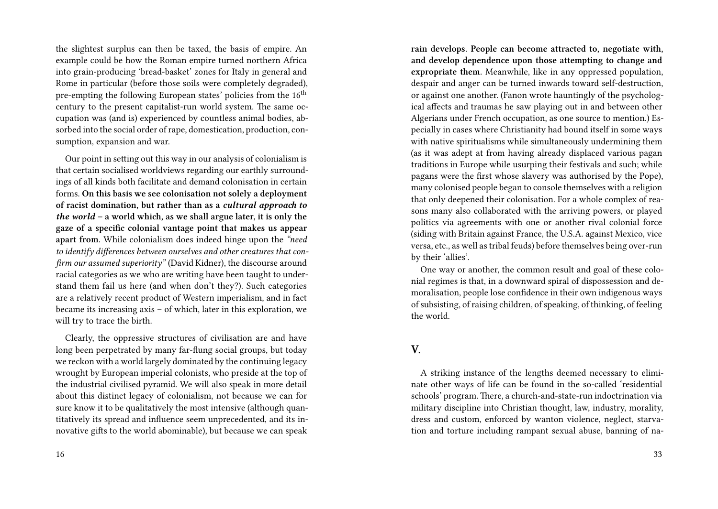the slightest surplus can then be taxed, the basis of empire. An example could be how the Roman empire turned northern Africa into grain-producing 'bread-basket' zones for Italy in general and Rome in particular (before those soils were completely degraded), pre-empting the following European states' policies from the 16<sup>th</sup> century to the present capitalist-run world system. The same occupation was (and is) experienced by countless animal bodies, absorbed into the social order of rape, domestication, production, consumption, expansion and war.

Our point in setting out this way in our analysis of colonialism is that certain socialised worldviews regarding our earthly surroundings of all kinds both facilitate and demand colonisation in certain forms. **On this basis we see colonisation not solely a deployment of racist domination, but rather than as a** *cultural approach to the world* **– a world which, as we shall argue later, it is only the gaze of a specific colonial vantage point that makes us appear apart from.** While colonialism does indeed hinge upon the *"need to identify differences between ourselves and other creatures that confirm our assumed superiority"* (David Kidner), the discourse around racial categories as we who are writing have been taught to understand them fail us here (and when don't they?). Such categories are a relatively recent product of Western imperialism, and in fact became its increasing axis – of which, later in this exploration, we will try to trace the birth.

Clearly, the oppressive structures of civilisation are and have long been perpetrated by many far-flung social groups, but today we reckon with a world largely dominated by the continuing legacy wrought by European imperial colonists, who preside at the top of the industrial civilised pyramid. We will also speak in more detail about this distinct legacy of colonialism, not because we can for sure know it to be qualitatively the most intensive (although quantitatively its spread and influence seem unprecedented, and its innovative gifts to the world abominable), but because we can speak **rain develops. People can become attracted to, negotiate with, and develop dependence upon those attempting to change and expropriate them.** Meanwhile, like in any oppressed population, despair and anger can be turned inwards toward self-destruction, or against one another. (Fanon wrote hauntingly of the psychological affects and traumas he saw playing out in and between other Algerians under French occupation, as one source to mention.) Especially in cases where Christianity had bound itself in some ways with native spiritualisms while simultaneously undermining them (as it was adept at from having already displaced various pagan traditions in Europe while usurping their festivals and such; while pagans were the first whose slavery was authorised by the Pope), many colonised people began to console themselves with a religion that only deepened their colonisation. For a whole complex of reasons many also collaborated with the arriving powers, or played politics via agreements with one or another rival colonial force (siding with Britain against France, the U.S.A. against Mexico, vice versa, etc., as well as tribal feuds) before themselves being over-run by their 'allies'.

One way or another, the common result and goal of these colonial regimes is that, in a downward spiral of dispossession and demoralisation, people lose confidence in their own indigenous ways of subsisting, of raising children, of speaking, of thinking, of feeling the world.

#### **V.**

A striking instance of the lengths deemed necessary to eliminate other ways of life can be found in the so-called 'residential schools' program. There, a church-and-state-run indoctrination via military discipline into Christian thought, law, industry, morality, dress and custom, enforced by wanton violence, neglect, starvation and torture including rampant sexual abuse, banning of na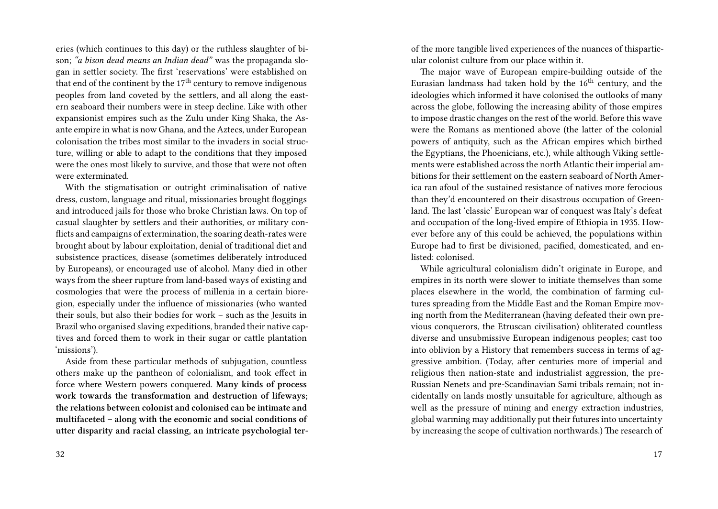eries (which continues to this day) or the ruthless slaughter of bison; *"a bison dead means an Indian dead"* was the propaganda slogan in settler society. The first 'reservations' were established on that end of the continent by the  $17<sup>th</sup>$  century to remove indigenous peoples from land coveted by the settlers, and all along the eastern seaboard their numbers were in steep decline. Like with other expansionist empires such as the Zulu under King Shaka, the Asante empire in what is now Ghana, and the Aztecs, under European colonisation the tribes most similar to the invaders in social structure, willing or able to adapt to the conditions that they imposed were the ones most likely to survive, and those that were not often were exterminated.

With the stigmatisation or outright criminalisation of native dress, custom, language and ritual, missionaries brought floggings and introduced jails for those who broke Christian laws. On top of casual slaughter by settlers and their authorities, or military conflicts and campaigns of extermination, the soaring death-rates were brought about by labour exploitation, denial of traditional diet and subsistence practices, disease (sometimes deliberately introduced by Europeans), or encouraged use of alcohol. Many died in other ways from the sheer rupture from land-based ways of existing and cosmologies that were the process of millenia in a certain bioregion, especially under the influence of missionaries (who wanted their souls, but also their bodies for work – such as the Jesuits in Brazil who organised slaving expeditions, branded their native captives and forced them to work in their sugar or cattle plantation 'missions').

Aside from these particular methods of subjugation, countless others make up the pantheon of colonialism, and took effect in force where Western powers conquered. **Many kinds of process work towards the transformation and destruction of lifeways; the relations between colonist and colonised can be intimate and multifaceted – along with the economic and social conditions of utter disparity and racial classing, an intricate psychologial ter-**

32

of the more tangible lived experiences of the nuances of thisparticular colonist culture from our place within it.

The major wave of European empire-building outside of the Eurasian landmass had taken hold by the  $16<sup>th</sup>$  century, and the ideologies which informed it have colonised the outlooks of many across the globe, following the increasing ability of those empires to impose drastic changes on the rest of the world. Before this wave were the Romans as mentioned above (the latter of the colonial powers of antiquity, such as the African empires which birthed the Egyptians, the Phoenicians, etc.), while although Viking settlements were established across the north Atlantic their imperial ambitions for their settlement on the eastern seaboard of North America ran afoul of the sustained resistance of natives more ferocious than they'd encountered on their disastrous occupation of Greenland. The last 'classic' European war of conquest was Italy's defeat and occupation of the long-lived empire of Ethiopia in 1935. However before any of this could be achieved, the populations within Europe had to first be divisioned, pacified, domesticated, and enlisted: colonised.

While agricultural colonialism didn't originate in Europe, and empires in its north were slower to initiate themselves than some places elsewhere in the world, the combination of farming cultures spreading from the Middle East and the Roman Empire moving north from the Mediterranean (having defeated their own previous conquerors, the Etruscan civilisation) obliterated countless diverse and unsubmissive European indigenous peoples; cast too into oblivion by a History that remembers success in terms of aggressive ambition. (Today, after centuries more of imperial and religious then nation-state and industrialist aggression, the pre-Russian Nenets and pre-Scandinavian Sami tribals remain; not incidentally on lands mostly unsuitable for agriculture, although as well as the pressure of mining and energy extraction industries, global warming may additionally put their futures into uncertainty by increasing the scope of cultivation northwards.) The research of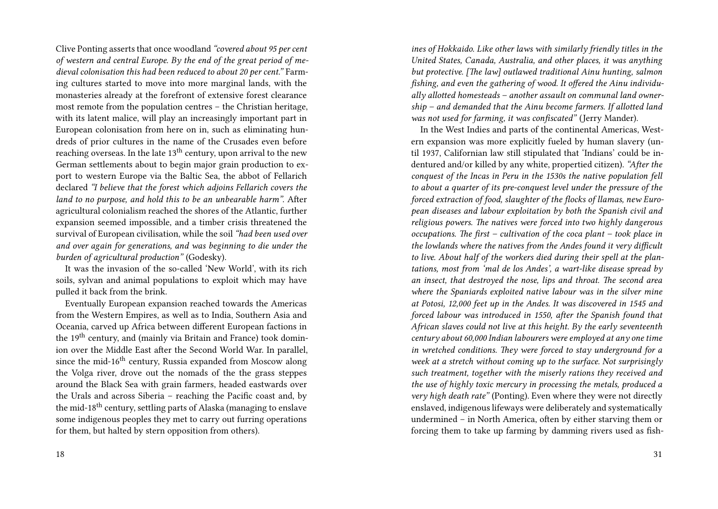Clive Ponting asserts that once woodland *"covered about 95 per cent of western and central Europe. By the end of the great period of medieval colonisation this had been reduced to about 20 per cent."* Farming cultures started to move into more marginal lands, with the monasteries already at the forefront of extensive forest clearance most remote from the population centres – the Christian heritage, with its latent malice, will play an increasingly important part in European colonisation from here on in, such as eliminating hundreds of prior cultures in the name of the Crusades even before reaching overseas. In the late  $13<sup>th</sup>$  century, upon arrival to the new German settlements about to begin major grain production to export to western Europe via the Baltic Sea, the abbot of Fellarich declared *"I believe that the forest which adjoins Fellarich covers the land to no purpose, and hold this to be an unbearable harm"*. After agricultural colonialism reached the shores of the Atlantic, further expansion seemed impossible, and a timber crisis threatened the survival of European civilisation, while the soil *"had been used over and over again for generations, and was beginning to die under the burden of agricultural production"* (Godesky).

It was the invasion of the so-called 'New World', with its rich soils, sylvan and animal populations to exploit which may have pulled it back from the brink.

Eventually European expansion reached towards the Americas from the Western Empires, as well as to India, Southern Asia and Oceania, carved up Africa between different European factions in the 19th century, and (mainly via Britain and France) took dominion over the Middle East after the Second World War. In parallel, since the mid-16<sup>th</sup> century, Russia expanded from Moscow along the Volga river, drove out the nomads of the the grass steppes around the Black Sea with grain farmers, headed eastwards over the Urals and across Siberia – reaching the Pacific coast and, by the mid-18<sup>th</sup> century, settling parts of Alaska (managing to enslave some indigenous peoples they met to carry out furring operations for them, but halted by stern opposition from others).

*ines of Hokkaido. Like other laws with similarly friendly titles in the United States, Canada, Australia, and other places, it was anything but protective. [The law] outlawed traditional Ainu hunting, salmon fishing, and even the gathering of wood. It offered the Ainu individually allotted homesteads – another assault on communal land ownership – and demanded that the Ainu become farmers. If allotted land was not used for farming, it was confiscated"* (Jerry Mander).

In the West Indies and parts of the continental Americas, Western expansion was more explicitly fueled by human slavery (until 1937, Californian law still stipulated that 'Indians' could be indentured and/or killed by any white, propertied citizen). *"After the conquest of the Incas in Peru in the 1530s the native population fell to about a quarter of its pre-conquest level under the pressure of the forced extraction of food, slaughter of the flocks of llamas, new European diseases and labour exploitation by both the Spanish civil and religious powers. The natives were forced into two highly dangerous occupations. The first – cultivation of the coca plant – took place in the lowlands where the natives from the Andes found it very difficult to live. About half of the workers died during their spell at the plantations, most from 'mal de los Andes', a wart-like disease spread by an insect, that destroyed the nose, lips and throat. The second area where the Spaniards exploited native labour was in the silver mine at Potosi, 12,000 feet up in the Andes. It was discovered in 1545 and forced labour was introduced in 1550, after the Spanish found that African slaves could not live at this height. By the early seventeenth century about 60,000 Indian labourers were employed at any one time in wretched conditions. They were forced to stay underground for a week at a stretch without coming up to the surface. Not surprisingly such treatment, together with the miserly rations they received and the use of highly toxic mercury in processing the metals, produced a very high death rate"* (Ponting). Even where they were not directly enslaved, indigenous lifeways were deliberately and systematically undermined – in North America, often by either starving them or forcing them to take up farming by damming rivers used as fish-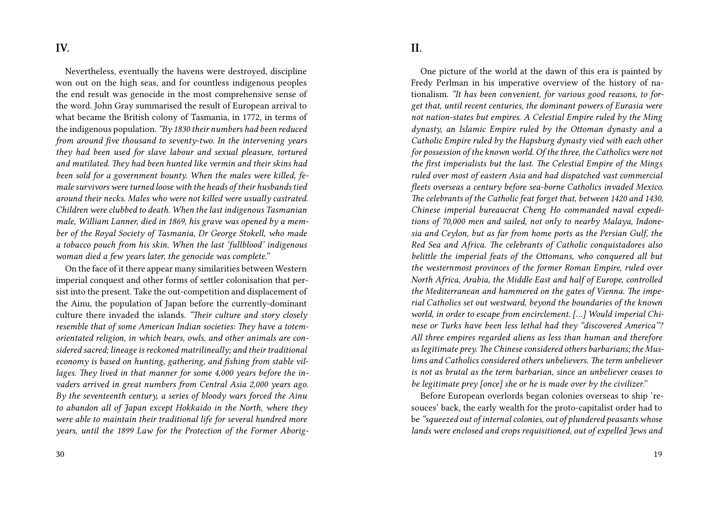Nevertheless, eventually the havens were destroyed, discipline won out on the high seas, and for countless indigenous peoples the end result was genocide in the most comprehensive sense of the word. John Gray summarised the result of European arrival to what became the British colony of Tasmania, in 1772, in terms of the indigenous population.*"By 1830 their numbers had been reduced from around five thousand to seventy-two. In the intervening years they had been used for slave labour and sexual pleasure, tortured and mutilated. They had been hunted like vermin and their skins had been sold for a government bounty. When the males were killed, female survivors were turned loose with the heads of their husbands tied around their necks. Males who were not killed were usually castrated. Children were clubbed to death. When the last indigenous Tasmanian male, William Lanner, died in 1869, his grave was opened by a member of the Royal Society of Tasmania, Dr George Stokell, who made a tobacco pouch from his skin. When the last 'fullblood' indigenous woman died a few years later, the genocide was complete."*

On the face of it there appear many similarities between Western imperial conquest and other forms of settler colonisation that persist into the present. Take the out-competition and displacement of the Ainu, the population of Japan before the currently-dominant culture there invaded the islands. *"Their culture and story closely resemble that of some American Indian societies: They have a totemorientated religion, in which bears, owls, and other animals are considered sacred; lineage is reckoned matrilineally; and their traditional economy is based on hunting, gathering, and fishing from stable villages. They lived in that manner for some 4,000 years before the invaders arrived in great numbers from Central Asia 2,000 years ago. By the seventeenth century, a series of bloody wars forced the Ainu to abandon all of Japan except Hokkaido in the North, where they were able to maintain their traditional life for several hundred more years, until the 1899 Law for the Protection of the Former Aborig-* **II.**

One picture of the world at the dawn of this era is painted by Fredy Perlman in his imperative overview of the history of nationalism. *"It has been convenient, for various good reasons, to forget that, until recent centuries, the dominant powers of Eurasia were not nation-states but empires. A Celestial Empire ruled by the Ming dynasty, an Islamic Empire ruled by the Ottoman dynasty and a Catholic Empire ruled by the Hapsburg dynasty vied with each other for possession of the known world. Of the three, the Catholics were not the first imperialists but the last. The Celestial Empire of the Mings ruled over most of eastern Asia and had dispatched vast commercial fleets overseas a century before sea-borne Catholics invaded Mexico. The celebrants of the Catholic feat forget that, between 1420 and 1430, Chinese imperial bureaucrat Cheng Ho commanded naval expeditions of 70,000 men and sailed, not only to nearby Malaya, Indonesia and Ceylon, but as far from home ports as the Persian Gulf, the Red Sea and Africa. The celebrants of Catholic conquistadores also belittle the imperial feats of the Ottomans, who conquered all but the westernmost provinces of the former Roman Empire, ruled over North Africa, Arabia, the Middle East and half of Europe, controlled the Mediterranean and hammered on the gates of Vienna. The imperial Catholics set out westward, beyond the boundaries of the known world, in order to escape from encirclement. […] Would imperial Chinese or Turks have been less lethal had they "discovered America"? All three empires regarded aliens as less than human and therefore as legitimate prey. The Chinese considered others barbarians; the Muslims and Catholics considered others unbelievers. The term unbeliever is not as brutal as the term barbarian, since an unbeliever ceases to be legitimate prey [once] she or he is made over by the civilizer."*

Before European overlords began colonies overseas to ship 'resouces' back, the early wealth for the proto-capitalist order had to be *"squeezed out of internal colonies, out of plundered peasants whose lands were enclosed and crops requisitioned, out of expelled Jews and*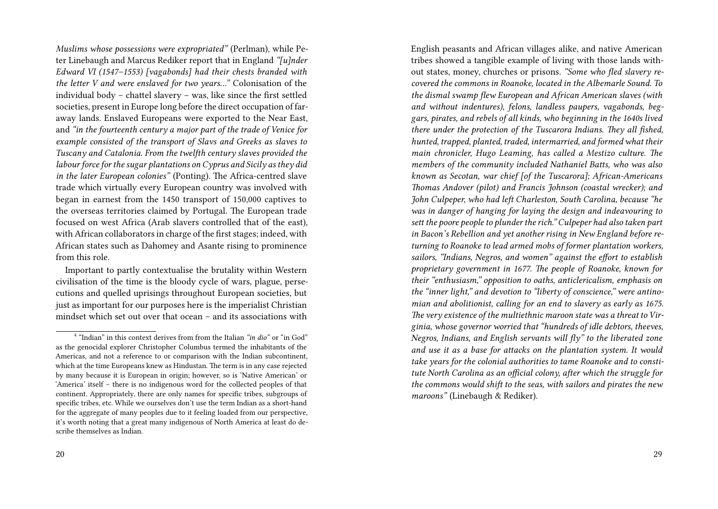*Muslims whose possessions were expropriated"* (Perlman), while Peter Linebaugh and Marcus Rediker report that in England *"[u]nder Edward VI (1547–1553) [vagabonds] had their chests branded with the letter V and were enslaved for two years…"* Colonisation of the individual body – chattel slavery – was, like since the first settled societies, present in Europe long before the direct occupation of faraway lands. Enslaved Europeans were exported to the Near East, and *"in the fourteenth century a major part of the trade of Venice for example consisted of the transport of Slavs and Greeks as slaves to Tuscany and Catalonia. From the twelfth century slaves provided the labour force for the sugar plantations on Cyprus and Sicily as they did in the later European colonies"* (Ponting). The Africa-centred slave trade which virtually every European country was involved with began in earnest from the 1450 transport of 150,000 captives to the overseas territories claimed by Portugal. The European trade focused on west Africa (Arab slavers controlled that of the east), with African collaborators in charge of the first stages; indeed, with African states such as Dahomey and Asante rising to prominence from this role.

Important to partly contextualise the brutality within Western civilisation of the time is the bloody cycle of wars, plague, persecutions and quelled uprisings throughout European societies, but just as important for our purposes here is the imperialist Christian mindset which set out over that ocean – and its associations with English peasants and African villages alike, and native American tribes showed a tangible example of living with those lands without states, money, churches or prisons. *"Some who fled slavery recovered the commons in Roanoke, located in the Albemarle Sound. To the dismal swamp flew European and African American slaves (with and without indentures), felons, landless paupers, vagabonds, beggars, pirates, and rebels of all kinds, who beginning in the 1640s lived there under the protection of the Tuscarora Indians. They all fished, hunted, trapped, planted, traded, intermarried, and formed what their main chronicler, Hugo Leaming, has called a Mestizo culture. The members of the community included Nathaniel Batts, who was also known as Secotan, war chief [of the Tuscarora]; African-Americans Thomas Andover (pilot) and Francis Johnson (coastal wrecker); and John Culpeper, who had left Charleston, South Carolina, because "he was in danger of hanging for laying the design and indeavouring to sett the poore people to plunder the rich." Culpeper had also taken part in Bacon's Rebellion and yet another rising in New England before returning to Roanoke to lead armed mobs of former plantation workers, sailors, "Indians, Negros, and women" against the effort to establish proprietary government in 1677. The people of Roanoke, known for their "enthusiasm," opposition to oaths, anticlericalism, emphasis on the "inner light," and devotion to "liberty of conscience," were antinomian and abolitionist, calling for an end to slavery as early as 1675. The very existence of the multiethnic maroon state was a threat to Virginia, whose governor worried that "hundreds of idle debtors, theeves, Negros, Indians, and English servants will fly" to the liberated zone and use it as a base for attacks on the plantation system. It would take years for the colonial authorities to tame Roanoke and to constitute North Carolina as an official colony, after which the struggle for the commons would shift to the seas, with sailors and pirates the new maroons"* (Linebaugh & Rediker).

<sup>4</sup> "Indian" in this context derives from from the Italian *"in dio"* or "in God" as the genocidal explorer Christopher Columbus termed the inhabitants of the Americas, and not a reference to or comparison with the Indian subcontinent, which at the time Europeans knew as Hindustan. The term is in any case rejected by many because it is European in origin; however, so is 'Native American' or 'America' itself – there is no indigenous word for the collected peoples of that continent. Appropriately, there are only names for specific tribes, subgroups of specific tribes, etc. While we ourselves don't use the term Indian as a short-hand for the aggregate of many peoples due to it feeling loaded from our perspective, it's worth noting that a great many indigenous of North America at least do describe themselves as Indian.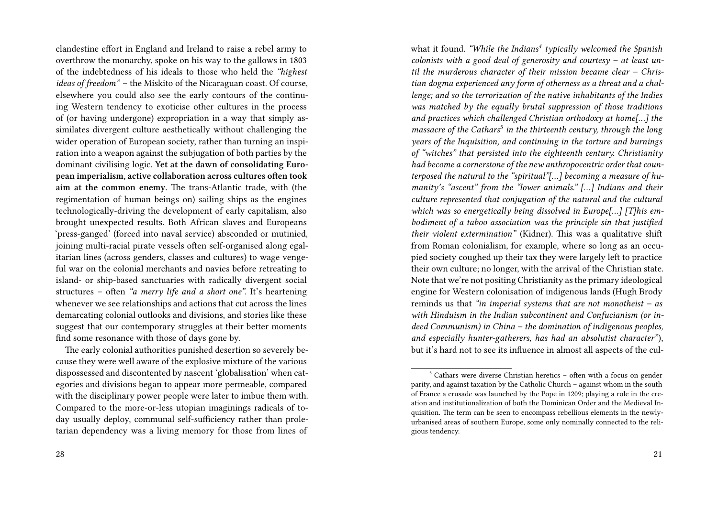clandestine effort in England and Ireland to raise a rebel army to overthrow the monarchy, spoke on his way to the gallows in 1803 of the indebtedness of his ideals to those who held the *"highest ideas of freedom"* – the Miskito of the Nicaraguan coast. Of course, elsewhere you could also see the early contours of the continuing Western tendency to exoticise other cultures in the process of (or having undergone) expropriation in a way that simply assimilates divergent culture aesthetically without challenging the wider operation of European society, rather than turning an inspiration into a weapon against the subjugation of both parties by the dominant civilising logic. **Yet at the dawn of consolidating European imperialism, active collaboration across cultures often took aim at the common enemy.** The trans-Atlantic trade, with (the regimentation of human beings on) sailing ships as the engines technologically-driving the development of early capitalism, also brought unexpected results. Both African slaves and Europeans 'press-ganged' (forced into naval service) absconded or mutinied, joining multi-racial pirate vessels often self-organised along egalitarian lines (across genders, classes and cultures) to wage vengeful war on the colonial merchants and navies before retreating to island- or ship-based sanctuaries with radically divergent social structures – often *"a merry life and a short one"*. It's heartening whenever we see relationships and actions that cut across the lines demarcating colonial outlooks and divisions, and stories like these suggest that our contemporary struggles at their better moments find some resonance with those of days gone by.

The early colonial authorities punished desertion so severely because they were well aware of the explosive mixture of the various dispossessed and discontented by nascent 'globalisation' when categories and divisions began to appear more permeable, compared with the disciplinary power people were later to imbue them with. Compared to the more-or-less utopian imaginings radicals of today usually deploy, communal self-sufficiency rather than proletarian dependency was a living memory for those from lines of

what it found. *"While the Indians<sup>4</sup> typically welcomed the Spanish colonists with a good deal of generosity and courtesy – at least until the murderous character of their mission became clear – Christian dogma experienced any form of otherness as a threat and a challenge; and so the terrorization of the native inhabitants of the Indies was matched by the equally brutal suppression of those traditions and practices which challenged Christian orthodoxy at home[…] the massacre of the Cathars<sup>5</sup> in the thirteenth century, through the long years of the Inquisition, and continuing in the torture and burnings of "witches" that persisted into the eighteenth century. Christianity had become a cornerstone of the new anthropocentric order that counterposed the natural to the "spiritual"[…] becoming a measure of humanity's "ascent" from the "lower animals." […] Indians and their culture represented that conjugation of the natural and the cultural which was so energetically being dissolved in Europe[…] [T]his embodiment of a taboo association was the principle sin that justified their violent extermination"* (Kidner). This was a qualitative shift from Roman colonialism, for example, where so long as an occupied society coughed up their tax they were largely left to practice their own culture; no longer, with the arrival of the Christian state. Note that we're not positing Christianity as the primary ideological engine for Western colonisation of indigenous lands (Hugh Brody reminds us that *"in imperial systems that are not monotheist – as with Hinduism in the Indian subcontinent and Confucianism (or indeed Communism) in China – the domination of indigenous peoples, and especially hunter-gatherers, has had an absolutist character"*), but it's hard not to see its influence in almost all aspects of the cul-

 $5$  Cathars were diverse Christian heretics – often with a focus on gender parity, and against taxation by the Catholic Church – against whom in the south of France a crusade was launched by the Pope in 1209; playing a role in the creation and institutionalization of both the Dominican Order and the Medieval Inquisition. The term can be seen to encompass rebellious elements in the newlyurbanised areas of southern Europe, some only nominally connected to the religious tendency.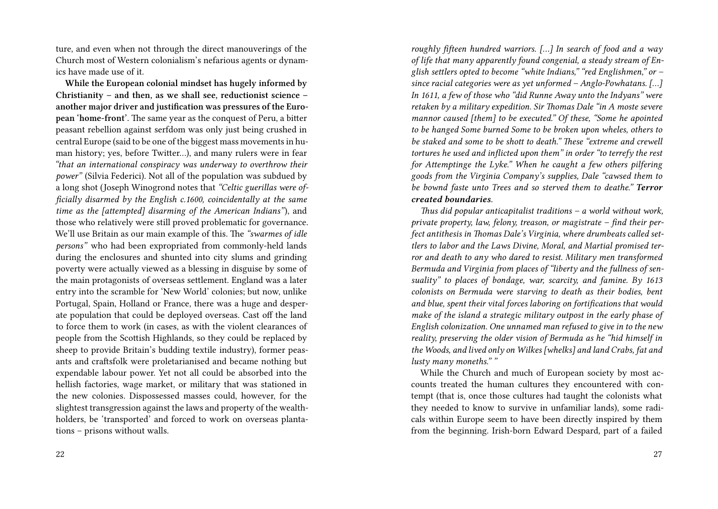ture, and even when not through the direct manouverings of the Church most of Western colonialism's nefarious agents or dynamics have made use of it.

**While the European colonial mindset has hugely informed by Christianity – and then, as we shall see, reductionist science – another major driver and justification was pressures of the European 'home-front'.** The same year as the conquest of Peru, a bitter peasant rebellion against serfdom was only just being crushed in central Europe (said to be one of the biggest mass movements in human history; yes, before Twitter…), and many rulers were in fear *"that an international conspiracy was underway to overthrow their power"* (Silvia Federici). Not all of the population was subdued by a long shot (Joseph Winogrond notes that *"Celtic guerillas were officially disarmed by the English c.1600, coincidentally at the same time as the [attempted] disarming of the American Indians"*), and those who relatively were still proved problematic for governance. We'll use Britain as our main example of this. The *"swarmes of idle persons"* who had been expropriated from commonly-held lands during the enclosures and shunted into city slums and grinding poverty were actually viewed as a blessing in disguise by some of the main protagonists of overseas settlement. England was a later entry into the scramble for 'New World' colonies; but now, unlike Portugal, Spain, Holland or France, there was a huge and desperate population that could be deployed overseas. Cast off the land to force them to work (in cases, as with the violent clearances of people from the Scottish Highlands, so they could be replaced by sheep to provide Britain's budding textile industry), former peasants and craftsfolk were proletarianised and became nothing but expendable labour power. Yet not all could be absorbed into the hellish factories, wage market, or military that was stationed in the new colonies. Dispossessed masses could, however, for the slightest transgression against the laws and property of the wealthholders, be 'transported' and forced to work on overseas plantations – prisons without walls.

*roughly fifteen hundred warriors. […] In search of food and a way of life that many apparently found congenial, a steady stream of English settlers opted to become "white Indians," "red Englishmen," or – since racial categories were as yet unformed – Anglo-Powhatans. […] In 1611, a few of those who "did Runne Away unto the Indyans" were retaken by a military expedition. Sir Thomas Dale "in A moste severe mannor caused [them] to be executed." Of these, "Some he apointed to be hanged Some burned Some to be broken upon wheles, others to be staked and some to be shott to death." These "extreme and crewell tortures he used and inflicted upon them" in order "to terrefy the rest for Attemptinge the Lyke." When he caught a few others pilfering goods from the Virginia Company's supplies, Dale "cawsed them to be bownd faste unto Trees and so sterved them to deathe." Terror created boundaries.*

*Thus did popular anticapitalist traditions – a world without work, private property, law, felony, treason, or magistrate – find their perfect antithesis in Thomas Dale's Virginia, where drumbeats called settlers to labor and the Laws Divine, Moral, and Martial promised terror and death to any who dared to resist. Military men transformed Bermuda and Virginia from places of "liberty and the fullness of sensuality" to places of bondage, war, scarcity, and famine. By 1613 colonists on Bermuda were starving to death as their bodies, bent and blue, spent their vital forces laboring on fortifications that would make of the island a strategic military outpost in the early phase of English colonization. One unnamed man refused to give in to the new reality, preserving the older vision of Bermuda as he "hid himself in the Woods, and lived only on Wilkes [whelks] and land Crabs, fat and lusty many moneths." "*

While the Church and much of European society by most accounts treated the human cultures they encountered with contempt (that is, once those cultures had taught the colonists what they needed to know to survive in unfamiliar lands), some radicals within Europe seem to have been directly inspired by them from the beginning. Irish-born Edward Despard, part of a failed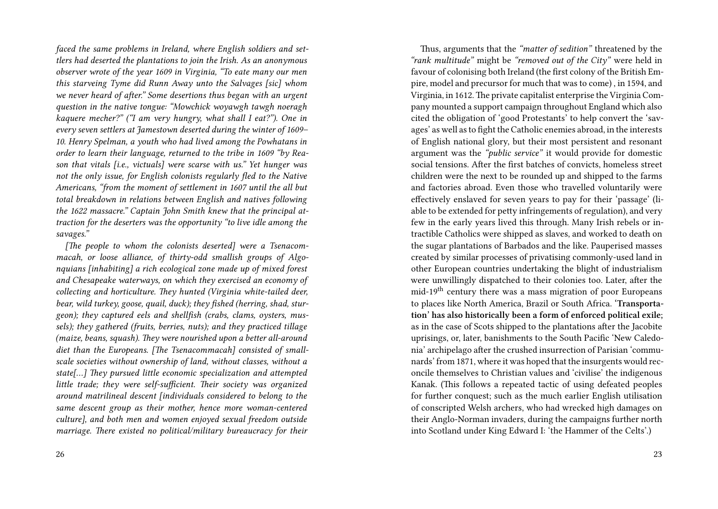*faced the same problems in Ireland, where English soldiers and settlers had deserted the plantations to join the Irish. As an anonymous observer wrote of the year 1609 in Virginia, "To eate many our men this starveing Tyme did Runn Away unto the Salvages [sic] whom we never heard of after." Some desertions thus began with an urgent question in the native tongue: "Mowchick woyawgh tawgh noeragh kaquere mecher?" ("I am very hungry, what shall I eat?"). One in every seven settlers at Jamestown deserted during the winter of 1609– 10. Henry Spelman, a youth who had lived among the Powhatans in order to learn their language, returned to the tribe in 1609 "by Reason that vitals [i.e., victuals] were scarse with us." Yet hunger was not the only issue, for English colonists regularly fled to the Native Americans, "from the moment of settlement in 1607 until the all but total breakdown in relations between English and natives following the 1622 massacre." Captain John Smith knew that the principal attraction for the deserters was the opportunity "to live idle among the savages."*

*[The people to whom the colonists deserted] were a Tsenacommacah, or loose alliance, of thirty-odd smallish groups of Algonquians [inhabiting] a rich ecological zone made up of mixed forest and Chesapeake waterways, on which they exercised an economy of collecting and horticulture. They hunted (Virginia white-tailed deer, bear, wild turkey, goose, quail, duck); they fished (herring, shad, sturgeon); they captured eels and shellfish (crabs, clams, oysters, mussels); they gathered (fruits, berries, nuts); and they practiced tillage (maize, beans, squash). They were nourished upon a better all-around diet than the Europeans. [The Tsenacommacah] consisted of smallscale societies without ownership of land, without classes, without a state[…] They pursued little economic specialization and attempted little trade; they were self-sufficient. Their society was organized around matrilineal descent [individuals considered to belong to the same descent group as their mother, hence more woman-centered culture], and both men and women enjoyed sexual freedom outside marriage. There existed no political/military bureaucracy for their*

26

Thus, arguments that the *"matter of sedition"* threatened by the *"rank multitude"* might be *"removed out of the City"* were held in favour of colonising both Ireland (the first colony of the British Empire, model and precursor for much that was to come) , in 1594, and Virginia, in 1612. The private capitalist enterprise the Virginia Company mounted a support campaign throughout England which also cited the obligation of 'good Protestants' to help convert the 'savages' as well as to fight the Catholic enemies abroad, in the interests of English national glory, but their most persistent and resonant argument was the *"public service"* it would provide for domestic social tensions. After the first batches of convicts, homeless street children were the next to be rounded up and shipped to the farms and factories abroad. Even those who travelled voluntarily were effectively enslaved for seven years to pay for their 'passage' (liable to be extended for petty infringements of regulation), and very few in the early years lived this through. Many Irish rebels or intractible Catholics were shipped as slaves, and worked to death on the sugar plantations of Barbados and the like. Pauperised masses created by similar processes of privatising commonly-used land in other European countries undertaking the blight of industrialism were unwillingly dispatched to their colonies too. Later, after the mid-19<sup>th</sup> century there was a mass migration of poor Europeans to places like North America, Brazil or South Africa. **'Transportation' has also historically been a form of enforced political exile;** as in the case of Scots shipped to the plantations after the Jacobite uprisings, or, later, banishments to the South Pacific 'New Caledonia' archipelago after the crushed insurrection of Parisian 'communards' from 1871, where it was hoped that the insurgents would reconcile themselves to Christian values and 'civilise' the indigenous Kanak. (This follows a repeated tactic of using defeated peoples for further conquest; such as the much earlier English utilisation of conscripted Welsh archers, who had wrecked high damages on their Anglo-Norman invaders, during the campaigns further north into Scotland under King Edward I: 'the Hammer of the Celts'.)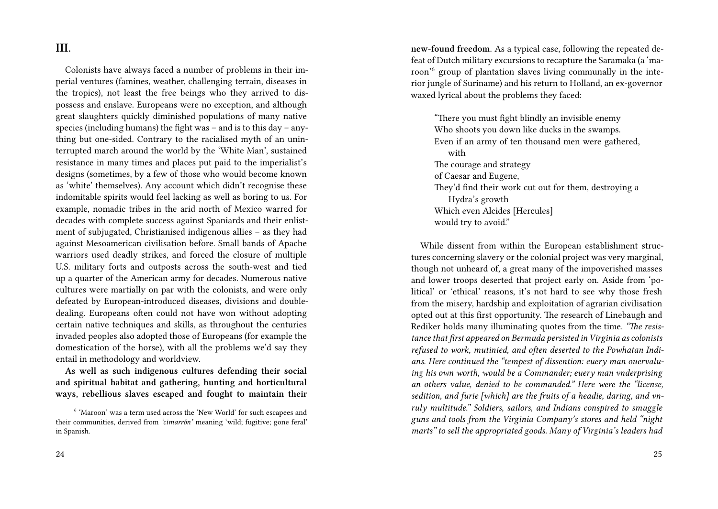#### **III.**

Colonists have always faced a number of problems in their imperial ventures (famines, weather, challenging terrain, diseases in the tropics), not least the free beings who they arrived to dispossess and enslave. Europeans were no exception, and although great slaughters quickly diminished populations of many native species (including humans) the fight was – and is to this day – anything but one-sided. Contrary to the racialised myth of an uninterrupted march around the world by the 'White Man', sustained resistance in many times and places put paid to the imperialist's designs (sometimes, by a few of those who would become known as 'white' themselves). Any account which didn't recognise these indomitable spirits would feel lacking as well as boring to us. For example, nomadic tribes in the arid north of Mexico warred for decades with complete success against Spaniards and their enlistment of subjugated, Christianised indigenous allies – as they had against Mesoamerican civilisation before. Small bands of Apache warriors used deadly strikes, and forced the closure of multiple U.S. military forts and outposts across the south-west and tied up a quarter of the American army for decades. Numerous native cultures were martially on par with the colonists, and were only defeated by European-introduced diseases, divisions and doubledealing. Europeans often could not have won without adopting certain native techniques and skills, as throughout the centuries invaded peoples also adopted those of Europeans (for example the domestication of the horse), with all the problems we'd say they entail in methodology and worldview.

**As well as such indigenous cultures defending their social and spiritual habitat and gathering, hunting and horticultural ways, rebellious slaves escaped and fought to maintain their** **new-found freedom.** As a typical case, following the repeated defeat of Dutch military excursions to recapture the Saramaka (a 'maroon'<sup>6</sup> group of plantation slaves living communally in the interior jungle of Suriname) and his return to Holland, an ex-governor waxed lyrical about the problems they faced:

"There you must fight blindly an invisible enemy Who shoots you down like ducks in the swamps. Even if an army of ten thousand men were gathered, with The courage and strategy of Caesar and Eugene, They'd find their work cut out for them, destroying a Hydra's growth Which even Alcides [Hercules] would try to avoid."

While dissent from within the European establishment structures concerning slavery or the colonial project was very marginal, though not unheard of, a great many of the impoverished masses and lower troops deserted that project early on. Aside from 'political' or 'ethical' reasons, it's not hard to see why those fresh from the misery, hardship and exploitation of agrarian civilisation opted out at this first opportunity. The research of Linebaugh and Rediker holds many illuminating quotes from the time. *"The resistance that first appeared on Bermuda persisted in Virginia as colonists refused to work, mutinied, and often deserted to the Powhatan Indians. Here continued the "tempest of dissention: euery man ouervaluing his own worth, would be a Commander; euery man vnderprising an others value, denied to be commanded." Here were the "license, sedition, and furie [which] are the fruits of a headie, daring, and vnruly multitude." Soldiers, sailors, and Indians conspired to smuggle guns and tools from the Virginia Company's stores and held "night marts" to sell the appropriated goods. Many of Virginia's leaders had*

<sup>6</sup> 'Maroon' was a term used across the 'New World' for such escapees and their communities, derived from *'cimarrón'* meaning 'wild; fugitive; gone feral' in Spanish.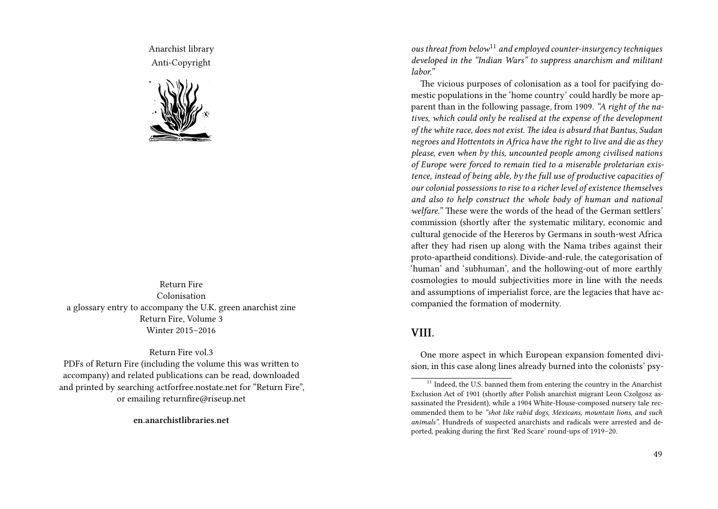Anarchist library Anti-Copyright



Return Fire Colonisation a glossary entry to accompany the U.K. green anarchist zine Return Fire, Volume 3 Winter 2015–2016

Return Fire vol.3 PDFs of Return Fire (including the volume this was written to accompany) and related publications can be read, downloaded and printed by searching actforfree.nostate.net for "Return Fire", or emailing returnfire@riseup.net

**en.anarchistlibraries.net**

*ous threat from below*<sup>11</sup> *and employed counter-insurgency techniques developed in the "Indian Wars" to suppress anarchism and militant labor."*

The vicious purposes of colonisation as a tool for pacifying domestic populations in the 'home country' could hardly be more apparent than in the following passage, from 1909. *"A right of the natives, which could only be realised at the expense of the development of the white race, does not exist. The idea is absurd that Bantus, Sudan negroes and Hottentots in Africa have the right to live and die as they please, even when by this, uncounted people among civilised nations of Europe were forced to remain tied to a miserable proletarian existence, instead of being able, by the full use of productive capacities of our colonial possessions to rise to a richer level of existence themselves and also to help construct the whole body of human and national welfare."* These were the words of the head of the German settlers' commission (shortly after the systematic military, economic and cultural genocide of the Hereros by Germans in south-west Africa after they had risen up along with the Nama tribes against their proto-apartheid conditions). Divide-and-rule, the categorisation of 'human' and 'subhuman', and the hollowing-out of more earthly cosmologies to mould subjectivities more in line with the needs and assumptions of imperialist force, are the legacies that have accompanied the formation of modernity.

#### **VIII.**

One more aspect in which European expansion fomented division, in this case along lines already burned into the colonists' psy-

 $11$  Indeed, the U.S. banned them from entering the country in the Anarchist Exclusion Act of 1901 (shortly after Polish anarchist migrant Leon Czolgosz assassinated the President), while a 1904 White-House-composed nursery tale recommended them to be *"shot like rabid dogs, Mexicans, mountain lions, and such animals"*. Hundreds of suspected anarchists and radicals were arrested and deported, peaking during the first 'Red Scare' round-ups of 1919–20.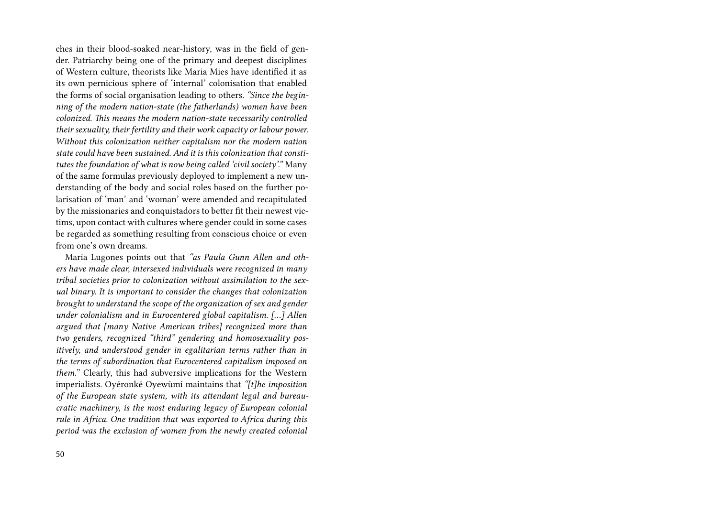ches in their blood-soaked near-history, was in the field of gender. Patriarchy being one of the primary and deepest disciplines of Western culture, theorists like Maria Mies have identified it as its own pernicious sphere of 'internal' colonisation that enabled the forms of social organisation leading to others. *"Since the beginning of the modern nation-state (the fatherlands) women have been colonized. This means the modern nation-state necessarily controlled their sexuality, their fertility and their work capacity or labour power. Without this colonization neither capitalism nor the modern nation state could have been sustained. And it is this colonization that constitutes the foundation of what is now being called 'civil society'."* Many of the same formulas previously deployed to implement a new understanding of the body and social roles based on the further polarisation of 'man' and 'woman' were amended and recapitulated by the missionaries and conquistadors to better fit their newest victims, upon contact with cultures where gender could in some cases be regarded as something resulting from conscious choice or even from one's own dreams.

María Lugones points out that *"as Paula Gunn Allen and others have made clear, intersexed individuals were recognized in many tribal societies prior to colonization without assimilation to the sexual binary. It is important to consider the changes that colonization brought to understand the scope of the organization of sex and gender under colonialism and in Eurocentered global capitalism. […] Allen argued that [many Native American tribes] recognized more than two genders, recognized "third" gendering and homosexuality positively, and understood gender in egalitarian terms rather than in the terms of subordination that Eurocentered capitalism imposed on them."* Clearly, this had subversive implications for the Western imperialists. Oyéronké Oyewùmí maintains that *"[t]he imposition of the European state system, with its attendant legal and bureaucratic machinery, is the most enduring legacy of European colonial rule in Africa. One tradition that was exported to Africa during this period was the exclusion of women from the newly created colonial*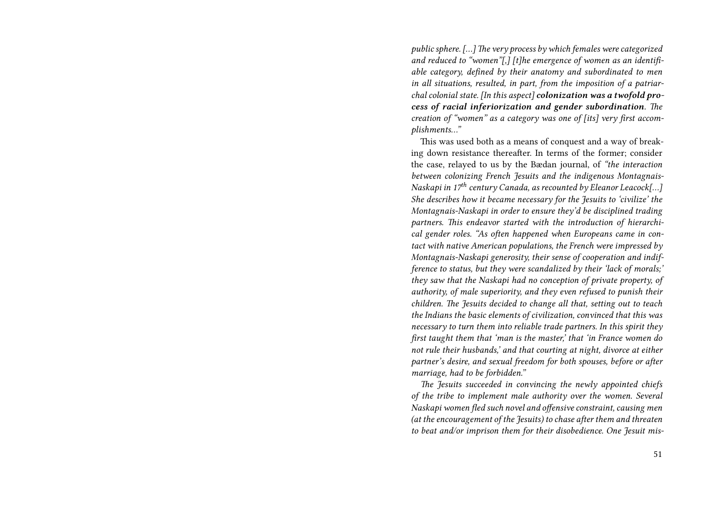*public sphere. […] The very process by which females were categorized and reduced to "women"[,] [t]he emergence of women as an identifiable category, defined by their anatomy and subordinated to men in all situations, resulted, in part, from the imposition of a patriarchal colonial state. [In this aspect] colonization was a twofold process of racial inferiorization and gender subordination. The creation of "women" as a category was one of [its] very first accomplishments…"*

This was used both as a means of conquest and a way of breaking down resistance thereafter. In terms of the former; consider the case, relayed to us by the Bædan journal, of *"the interaction between colonizing French Jesuits and the indigenous Montagnais-Naskapi in 17th century Canada, as recounted by Eleanor Leacock[…] She describes how it became necessary for the Jesuits to 'civilize' the Montagnais-Naskapi in order to ensure they'd be disciplined trading partners. This endeavor started with the introduction of hierarchical gender roles. "As often happened when Europeans came in contact with native American populations, the French were impressed by Montagnais-Naskapi generosity, their sense of cooperation and indifference to status, but they were scandalized by their 'lack of morals;' they saw that the Naskapi had no conception of private property, of authority, of male superiority, and they even refused to punish their children. The Jesuits decided to change all that, setting out to teach the Indians the basic elements of civilization, convinced that this was necessary to turn them into reliable trade partners. In this spirit they first taught them that 'man is the master,' that 'in France women do not rule their husbands,' and that courting at night, divorce at either partner's desire, and sexual freedom for both spouses, before or after marriage, had to be forbidden."*

*The Jesuits succeeded in convincing the newly appointed chiefs of the tribe to implement male authority over the women. Several Naskapi women fled such novel and offensive constraint, causing men (at the encouragement of the Jesuits) to chase after them and threaten to beat and/or imprison them for their disobedience. One Jesuit mis-*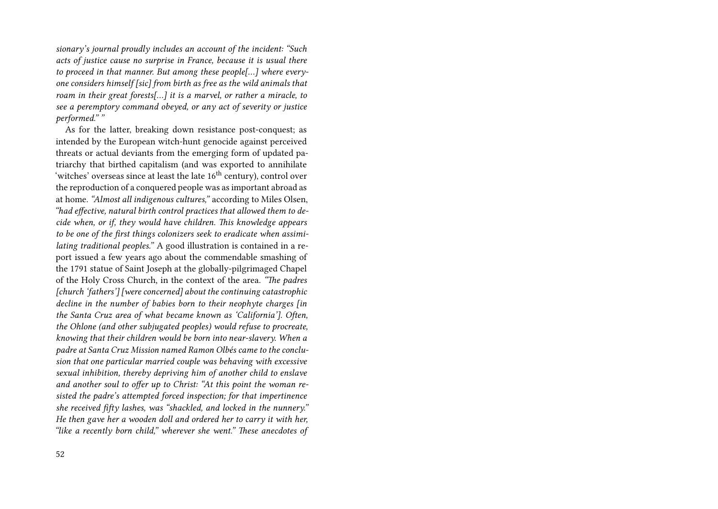*sionary's journal proudly includes an account of the incident: "Such acts of justice cause no surprise in France, because it is usual there to proceed in that manner. But among these people[…] where everyone considers himself [sic] from birth as free as the wild animals that roam in their great forests[…] it is a marvel, or rather a miracle, to see a peremptory command obeyed, or any act of severity or justice performed." "*

As for the latter, breaking down resistance post-conquest; as intended by the European witch-hunt genocide against perceived threats or actual deviants from the emerging form of updated patriarchy that birthed capitalism (and was exported to annihilate 'witches' overseas since at least the late  $16<sup>th</sup>$  century), control over the reproduction of a conquered people was as important abroad as at home. *"Almost all indigenous cultures,"* according to Miles Olsen, *"had effective, natural birth control practices that allowed them to decide when, or if, they would have children. This knowledge appears to be one of the first things colonizers seek to eradicate when assimilating traditional peoples."* A good illustration is contained in a report issued a few years ago about the commendable smashing of the 1791 statue of Saint Joseph at the globally-pilgrimaged Chapel of the Holy Cross Church, in the context of the area. *"The padres [church 'fathers'] [were concerned] about the continuing catastrophic decline in the number of babies born to their neophyte charges [in the Santa Cruz area of what became known as 'California']. Often, the Ohlone (and other subjugated peoples) would refuse to procreate, knowing that their children would be born into near-slavery. When a padre at Santa Cruz Mission named Ramon Olbés came to the conclusion that one particular married couple was behaving with excessive sexual inhibition, thereby depriving him of another child to enslave and another soul to offer up to Christ: "At this point the woman resisted the padre's attempted forced inspection; for that impertinence she received fifty lashes, was "shackled, and locked in the nunnery." He then gave her a wooden doll and ordered her to carry it with her, "like a recently born child," wherever she went." These anecdotes of*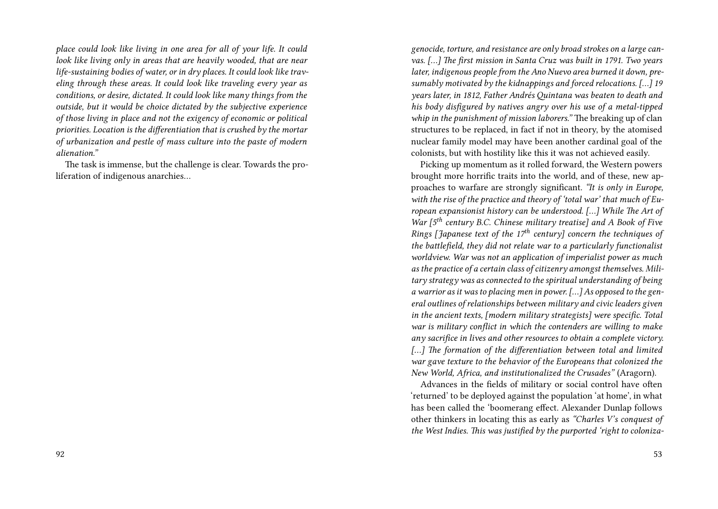*place could look like living in one area for all of your life. It could look like living only in areas that are heavily wooded, that are near life-sustaining bodies of water, or in dry places. It could look like traveling through these areas. It could look like traveling every year as conditions, or desire, dictated. It could look like many things from the outside, but it would be choice dictated by the subjective experience of those living in place and not the exigency of economic or political priorities. Location is the differentiation that is crushed by the mortar of urbanization and pestle of mass culture into the paste of modern alienation."*

The task is immense, but the challenge is clear. Towards the proliferation of indigenous anarchies…

*genocide, torture, and resistance are only broad strokes on a large canvas. […] The first mission in Santa Cruz was built in 1791. Two years later, indigenous people from the Ano Nuevo area burned it down, presumably motivated by the kidnappings and forced relocations. […] 19 years later, in 1812, Father Andrés Quintana was beaten to death and his body disfigured by natives angry over his use of a metal-tipped whip in the punishment of mission laborers."* The breaking up of clan structures to be replaced, in fact if not in theory, by the atomised nuclear family model may have been another cardinal goal of the colonists, but with hostility like this it was not achieved easily.

Picking up momentum as it rolled forward, the Western powers brought more horrific traits into the world, and of these, new approaches to warfare are strongly significant. *"It is only in Europe, with the rise of the practice and theory of 'total war' that much of European expansionist history can be understood. […] While The Art of War [5th century B.C. Chinese military treatise] and A Book of Five Rings [Japanese text of the 17th century] concern the techniques of the battlefield, they did not relate war to a particularly functionalist worldview. War was not an application of imperialist power as much as the practice of a certain class of citizenry amongst themselves. Military strategy was as connected to the spiritual understanding of being a warrior as it was to placing men in power. […] As opposed to the general outlines of relationships between military and civic leaders given in the ancient texts, [modern military strategists] were specific. Total war is military conflict in which the contenders are willing to make any sacrifice in lives and other resources to obtain a complete victory. […] The formation of the differentiation between total and limited war gave texture to the behavior of the Europeans that colonized the New World, Africa, and institutionalized the Crusades"* (Aragorn).

Advances in the fields of military or social control have often 'returned' to be deployed against the population 'at home', in what has been called the 'boomerang effect. Alexander Dunlap follows other thinkers in locating this as early as *"Charles V's conquest of the West Indies. This was justified by the purported 'right to coloniza-*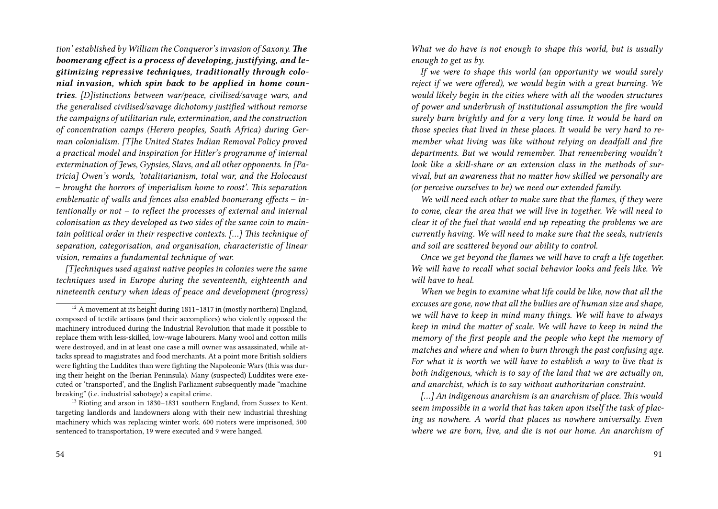*tion' established by William the Conqueror's invasion of Saxony. The boomerang effect is a process of developing, justifying, and legitimizing repressive techniques, traditionally through colonial invasion, which spin back to be applied in home countries. [D]istinctions between war/peace, civilised/savage wars, and the generalised civilised/savage dichotomy justified without remorse the campaigns of utilitarian rule, extermination, and the construction of concentration camps (Herero peoples, South Africa) during German colonialism. [T]he United States Indian Removal Policy proved a practical model and inspiration for Hitler's programme of internal extermination of Jews, Gypsies, Slavs, and all other opponents. In [Patricia] Owen's words, 'totalitarianism, total war, and the Holocaust – brought the horrors of imperialism home to roost'. This separation emblematic of walls and fences also enabled boomerang effects – intentionally or not – to reflect the processes of external and internal colonisation as they developed as two sides of the same coin to maintain political order in their respective contexts. […] This technique of separation, categorisation, and organisation, characteristic of linear vision, remains a fundamental technique of war.*

*[T]echniques used against native peoples in colonies were the same techniques used in Europe during the seventeenth, eighteenth and nineteenth century when ideas of peace and development (progress)* *What we do have is not enough to shape this world, but is usually enough to get us by.*

*If we were to shape this world (an opportunity we would surely reject if we were offered), we would begin with a great burning. We would likely begin in the cities where with all the wooden structures of power and underbrush of institutional assumption the fire would surely burn brightly and for a very long time. It would be hard on those species that lived in these places. It would be very hard to remember what living was like without relying on deadfall and fire departments. But we would remember. That remembering wouldn't look like a skill-share or an extension class in the methods of survival, but an awareness that no matter how skilled we personally are (or perceive ourselves to be) we need our extended family.*

*We will need each other to make sure that the flames, if they were to come, clear the area that we will live in together. We will need to clear it of the fuel that would end up repeating the problems we are currently having. We will need to make sure that the seeds, nutrients and soil are scattered beyond our ability to control.*

*Once we get beyond the flames we will have to craft a life together. We will have to recall what social behavior looks and feels like. We will have to heal.*

*When we begin to examine what life could be like, now that all the excuses are gone, now that all the bullies are of human size and shape, we will have to keep in mind many things. We will have to always keep in mind the matter of scale. We will have to keep in mind the memory of the first people and the people who kept the memory of matches and where and when to burn through the past confusing age. For what it is worth we will have to establish a way to live that is both indigenous, which is to say of the land that we are actually on, and anarchist, which is to say without authoritarian constraint.*

*[…] An indigenous anarchism is an anarchism of place. This would seem impossible in a world that has taken upon itself the task of placing us nowhere. A world that places us nowhere universally. Even where we are born, live, and die is not our home. An anarchism of*

 $12$  A movement at its height during 1811–1817 in (mostly northern) England, composed of textile artisans (and their accomplices) who violently opposed the machinery introduced during the Industrial Revolution that made it possible to replace them with less-skilled, low-wage labourers. Many wool and cotton mills were destroyed, and in at least one case a mill owner was assassinated, while attacks spread to magistrates and food merchants. At a point more British soldiers were fighting the Luddites than were fighting the Napoleonic Wars (this was during their height on the Iberian Peninsula). Many (suspected) Luddites were executed or 'transported', and the English Parliament subsequently made "machine breaking" (i.e. industrial sabotage) a capital crime.

<sup>&</sup>lt;sup>13</sup> Rioting and arson in 1830–1831 southern England, from Sussex to Kent, targeting landlords and landowners along with their new industrial threshing machinery which was replacing winter work. 600 rioters were imprisoned, 500 sentenced to transportation, 19 were executed and 9 were hanged.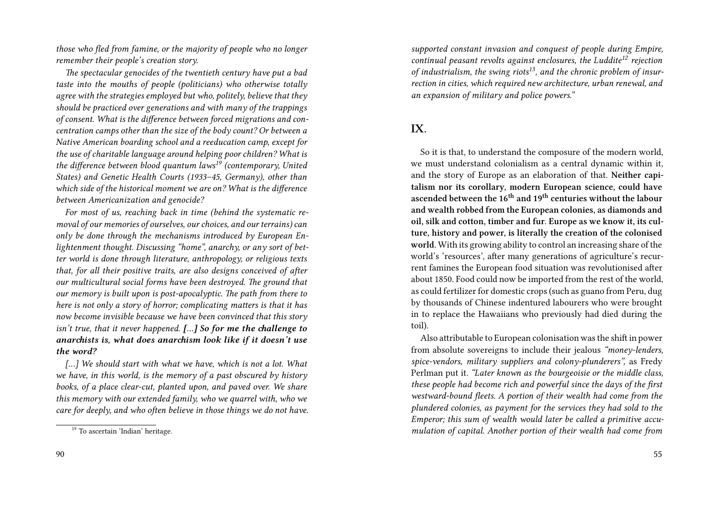*those who fled from famine, or the majority of people who no longer remember their people's creation story.*

*The spectacular genocides of the twentieth century have put a bad taste into the mouths of people (politicians) who otherwise totally agree with the strategies employed but who, politely, believe that they should be practiced over generations and with many of the trappings of consent. What is the difference between forced migrations and concentration camps other than the size of the body count? Or between a Native American boarding school and a reeducation camp, except for the use of charitable language around helping poor children? What is the difference between blood quantum laws<sup>19</sup> (contemporary, United States) and Genetic Health Courts (1933–45, Germany), other than which side of the historical moment we are on? What is the difference between Americanization and genocide?*

*For most of us, reaching back in time (behind the systematic removal of our memories of ourselves, our choices, and our terrains) can only be done through the mechanisms introduced by European Enlightenment thought. Discussing "home", anarchy, or any sort of better world is done through literature, anthropology, or religious texts that, for all their positive traits, are also designs conceived of after our multicultural social forms have been destroyed. The ground that our memory is built upon is post-apocalyptic. The path from there to here is not only a story of horror; complicating matters is that it has now become invisible because we have been convinced that this story isn't true, that it never happened. […] So for me the challenge to anarchists is, what does anarchism look like if it doesn't use the word?*

*[…] We should start with what we have, which is not a lot. What we have, in this world, is the memory of a past obscured by history books, of a place clear-cut, planted upon, and paved over. We share this memory with our extended family, who we quarrel with, who we care for deeply, and who often believe in those things we do not have.* *supported constant invasion and conquest of people during Empire, continual peasant revolts against enclosures, the Luddite<sup>12</sup> rejection of industrialism, the swing riots13, and the chronic problem of insurrection in cities, which required new architecture, urban renewal, and an expansion of military and police powers."*

#### **IX.**

So it is that, to understand the composure of the modern world, we must understand colonialism as a central dynamic within it, and the story of Europe as an elaboration of that. **Neither capitalism nor its corollary, modern European science, could have ascended between the 16th and 19th centuries without the labour and wealth robbed from the European colonies, as diamonds and oil, silk and cotton, timber and fur. Europe as we know it, its culture, history and power, is literally the creation of the colonised world.** With its growing ability to control an increasing share of the world's 'resources', after many generations of agriculture's recurrent famines the European food situation was revolutionised after about 1850. Food could now be imported from the rest of the world, as could fertilizer for domestic crops (such as guano from Peru, dug by thousands of Chinese indentured labourers who were brought in to replace the Hawaiians who previously had died during the toil).

Also attributable to European colonisation was the shift in power from absolute sovereigns to include their jealous *"money-lenders, spice-vendors, military suppliers and colony-plunderers",* as Fredy Perlman put it. *"Later known as the bourgeoisie or the middle class, these people had become rich and powerful since the days of the first westward-bound fleets. A portion of their wealth had come from the plundered colonies, as payment for the services they had sold to the Emperor; this sum of wealth would later be called a primitive accumulation of capital. Another portion of their wealth had come from*

<sup>&</sup>lt;sup>19</sup> To ascertain 'Indian' heritage.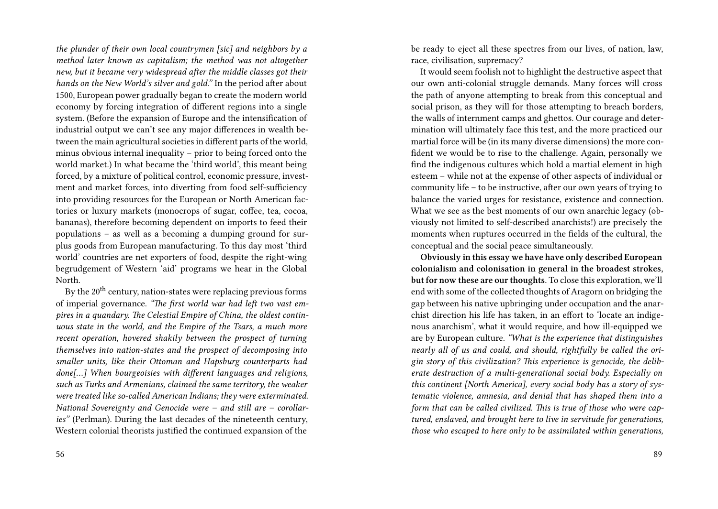*the plunder of their own local countrymen [sic] and neighbors by a method later known as capitalism; the method was not altogether new, but it became very widespread after the middle classes got their hands on the New World's silver and gold."* In the period after about 1500, European power gradually began to create the modern world economy by forcing integration of different regions into a single system. (Before the expansion of Europe and the intensification of industrial output we can't see any major differences in wealth between the main agricultural societies in different parts of the world, minus obvious internal inequality – prior to being forced onto the world market.) In what became the 'third world', this meant being forced, by a mixture of political control, economic pressure, investment and market forces, into diverting from food self-sufficiency into providing resources for the European or North American factories or luxury markets (monocrops of sugar, coffee, tea, cocoa, bananas), therefore becoming dependent on imports to feed their populations – as well as a becoming a dumping ground for surplus goods from European manufacturing. To this day most 'third world' countries are net exporters of food, despite the right-wing begrudgement of Western 'aid' programs we hear in the Global North.

By the  $20<sup>th</sup>$  century, nation-states were replacing previous forms of imperial governance. *"The first world war had left two vast empires in a quandary. The Celestial Empire of China, the oldest continuous state in the world, and the Empire of the Tsars, a much more recent operation, hovered shakily between the prospect of turning themselves into nation-states and the prospect of decomposing into smaller units, like their Ottoman and Hapsburg counterparts had done[…] When bourgeoisies with different languages and religions, such as Turks and Armenians, claimed the same territory, the weaker were treated like so-called American Indians; they were exterminated. National Sovereignty and Genocide were – and still are – corollaries"* (Perlman). During the last decades of the nineteenth century, Western colonial theorists justified the continued expansion of the

be ready to eject all these spectres from our lives, of nation, law, race, civilisation, supremacy?

It would seem foolish not to highlight the destructive aspect that our own anti-colonial struggle demands. Many forces will cross the path of anyone attempting to break from this conceptual and social prison, as they will for those attempting to breach borders, the walls of internment camps and ghettos. Our courage and determination will ultimately face this test, and the more practiced our martial force will be (in its many diverse dimensions) the more confident we would be to rise to the challenge. Again, personally we find the indigenous cultures which hold a martial element in high esteem – while not at the expense of other aspects of individual or community life – to be instructive, after our own years of trying to balance the varied urges for resistance, existence and connection. What we see as the best moments of our own anarchic legacy (obviously not limited to self-described anarchists!) are precisely the moments when ruptures occurred in the fields of the cultural, the conceptual and the social peace simultaneously.

**Obviously in this essay we have have only described European colonialism and colonisation in general in the broadest strokes, but for now these are our thoughts.** To close this exploration, we'll end with some of the collected thoughts of Aragorn on bridging the gap between his native upbringing under occupation and the anarchist direction his life has taken, in an effort to 'locate an indigenous anarchism', what it would require, and how ill-equipped we are by European culture. *"What is the experience that distinguishes nearly all of us and could, and should, rightfully be called the origin story of this civilization? This experience is genocide, the deliberate destruction of a multi-generational social body. Especially on this continent [North America], every social body has a story of systematic violence, amnesia, and denial that has shaped them into a form that can be called civilized. This is true of those who were captured, enslaved, and brought here to live in servitude for generations, those who escaped to here only to be assimilated within generations,*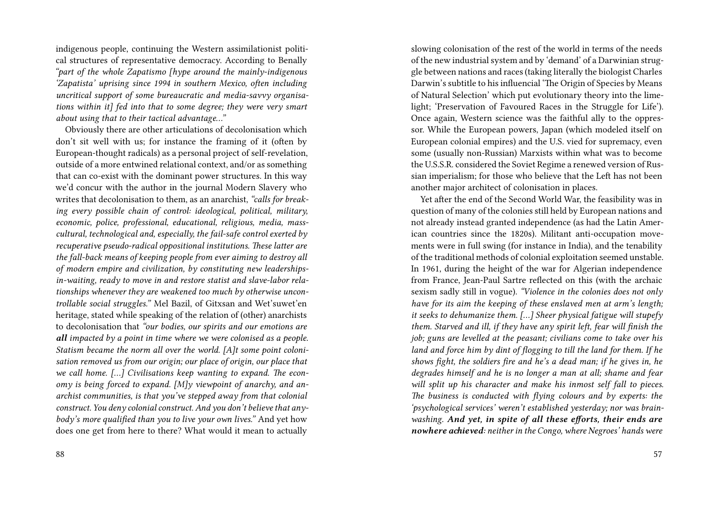indigenous people, continuing the Western assimilationist political structures of representative democracy. According to Benally *"part of the whole Zapatismo [hype around the mainly-indigenous 'Zapatista' uprising since 1994 in southern Mexico, often including uncritical support of some bureaucratic and media-savvy organisations within it] fed into that to some degree; they were very smart about using that to their tactical advantage…"*

Obviously there are other articulations of decolonisation which don't sit well with us; for instance the framing of it (often by European-thought radicals) as a personal project of self-revelation, outside of a more entwined relational context, and/or as something that can co-exist with the dominant power structures. In this way we'd concur with the author in the journal Modern Slavery who writes that decolonisation to them, as an anarchist, *"calls for breaking every possible chain of control: ideological, political, military, economic, police, professional, educational, religious, media, masscultural, technological and, especially, the fail-safe control exerted by recuperative pseudo-radical oppositional institutions. These latter are the fall-back means of keeping people from ever aiming to destroy all of modern empire and civilization, by constituting new leadershipsin-waiting, ready to move in and restore statist and slave-labor relationships whenever they are weakened too much by otherwise uncontrollable social struggles."* Mel Bazil, of Gitxsan and Wet'suwet'en heritage, stated while speaking of the relation of (other) anarchists to decolonisation that *"our bodies, our spirits and our emotions are all impacted by a point in time where we were colonised as a people. Statism became the norm all over the world. [A]t some point colonisation removed us from our origin; our place of origin, our place that we call home. […] Civilisations keep wanting to expand. The economy is being forced to expand. [M]y viewpoint of anarchy, and anarchist communities, is that you've stepped away from that colonial construct. You deny colonial construct. And you don't believe that anybody's more qualified than you to live your own lives."* And yet how does one get from here to there? What would it mean to actually

slowing colonisation of the rest of the world in terms of the needs of the new industrial system and by 'demand' of a Darwinian struggle between nations and races (taking literally the biologist Charles Darwin's subtitle to his influencial 'The Origin of Species by Means of Natural Selection' which put evolutionary theory into the limelight; 'Preservation of Favoured Races in the Struggle for Life'). Once again, Western science was the faithful ally to the oppressor. While the European powers, Japan (which modeled itself on European colonial empires) and the U.S. vied for supremacy, even some (usually non-Russian) Marxists within what was to become the U.S.S.R. considered the Soviet Regime a renewed version of Russian imperialism; for those who believe that the Left has not been another major architect of colonisation in places.

Yet after the end of the Second World War, the feasibility was in question of many of the colonies still held by European nations and not already instead granted independence (as had the Latin American countries since the 1820s). Militant anti-occupation movements were in full swing (for instance in India), and the tenability of the traditional methods of colonial exploitation seemed unstable. In 1961, during the height of the war for Algerian independence from France, Jean-Paul Sartre reflected on this (with the archaic sexism sadly still in vogue). *"Violence in the colonies does not only have for its aim the keeping of these enslaved men at arm's length; it seeks to dehumanize them. […] Sheer physical fatigue will stupefy them. Starved and ill, if they have any spirit left, fear will finish the job; guns are levelled at the peasant; civilians come to take over his land and force him by dint of flogging to till the land for them. If he shows fight, the soldiers fire and he's a dead man; if he gives in, he degrades himself and he is no longer a man at all; shame and fear will split up his character and make his inmost self fall to pieces. The business is conducted with flying colours and by experts: the 'psychological services' weren't established yesterday; nor was brainwashing. And yet, in spite of all these efforts, their ends are nowhere achieved: neither in the Congo, where Negroes' hands were*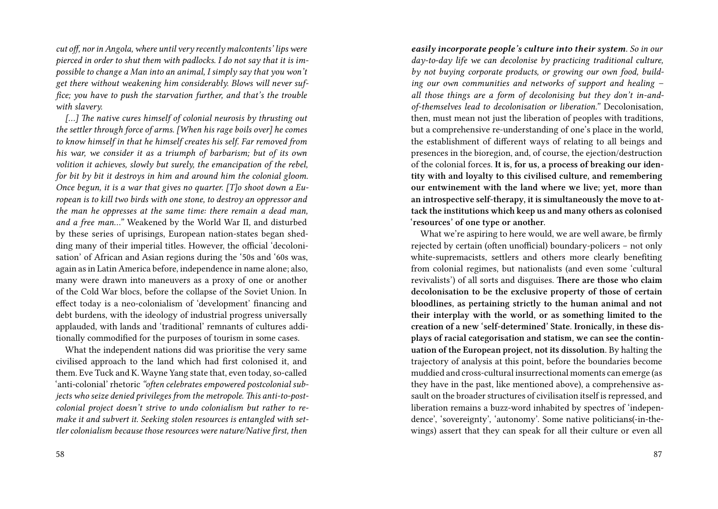*cut off, nor in Angola, where until very recently malcontents' lips were pierced in order to shut them with padlocks. I do not say that it is impossible to change a Man into an animal, I simply say that you won't get there without weakening him considerably. Blows will never suffice; you have to push the starvation further, and that's the trouble with slavery.*

*[…] The native cures himself of colonial neurosis by thrusting out the settler through force of arms. [When his rage boils over] he comes to know himself in that he himself creates his self. Far removed from his war, we consider it as a triumph of barbarism; but of its own volition it achieves, slowly but surely, the emancipation of the rebel, for bit by bit it destroys in him and around him the colonial gloom. Once begun, it is a war that gives no quarter. [T]o shoot down a European is to kill two birds with one stone, to destroy an oppressor and the man he oppresses at the same time: there remain a dead man, and a free man…"* Weakened by the World War II, and disturbed by these series of uprisings, European nation-states began shedding many of their imperial titles. However, the official 'decolonisation' of African and Asian regions during the '50s and '60s was, again as in Latin America before, independence in name alone; also, many were drawn into maneuvers as a proxy of one or another of the Cold War blocs, before the collapse of the Soviet Union. In effect today is a neo-colonialism of 'development' financing and debt burdens, with the ideology of industrial progress universally applauded, with lands and 'traditional' remnants of cultures additionally commodified for the purposes of tourism in some cases.

What the independent nations did was prioritise the very same civilised approach to the land which had first colonised it, and them. Eve Tuck and K. Wayne Yang state that, even today, so-called 'anti-colonial' rhetoric *"often celebrates empowered postcolonial subjects who seize denied privileges from the metropole. This anti-to-postcolonial project doesn't strive to undo colonialism but rather to remake it and subvert it. Seeking stolen resources is entangled with settler colonialism because those resources were nature/Native first, then*

*easily incorporate people's culture into their system. So in our day-to-day life we can decolonise by practicing traditional culture, by not buying corporate products, or growing our own food, building our own communities and networks of support and healing – all those things are a form of decolonising but they don't in-andof-themselves lead to decolonisation or liberation."* Decolonisation, then, must mean not just the liberation of peoples with traditions, but a comprehensive re-understanding of one's place in the world, the establishment of different ways of relating to all beings and presences in the bioregion, and, of course, the ejection/destruction of the colonial forces. **It is, for us, a process of breaking our identity with and loyalty to this civilised culture, and remembering our entwinement with the land where we live; yet, more than an introspective self-therapy, it is simultaneously the move to attack the institutions which keep us and many others as colonised 'resources' of one type or another.**

What we're aspiring to here would, we are well aware, be firmly rejected by certain (often unofficial) boundary-policers – not only white-supremacists, settlers and others more clearly benefiting from colonial regimes, but nationalists (and even some 'cultural revivalists') of all sorts and disguises. **There are those who claim decolonisation to be the exclusive property of those of certain bloodlines, as pertaining strictly to the human animal and not their interplay with the world, or as something limited to the creation of a new 'self-determined' State. Ironically, in these displays of racial categorisation and statism, we can see the continuation of the European project, not its dissolution.** By halting the trajectory of analysis at this point, before the boundaries become muddied and cross-cultural insurrectional moments can emerge (as they have in the past, like mentioned above), a comprehensive assault on the broader structures of civilisation itself is repressed, and liberation remains a buzz-word inhabited by spectres of 'independence', 'sovereignty', 'autonomy'. Some native politicians(-in-thewings) assert that they can speak for all their culture or even all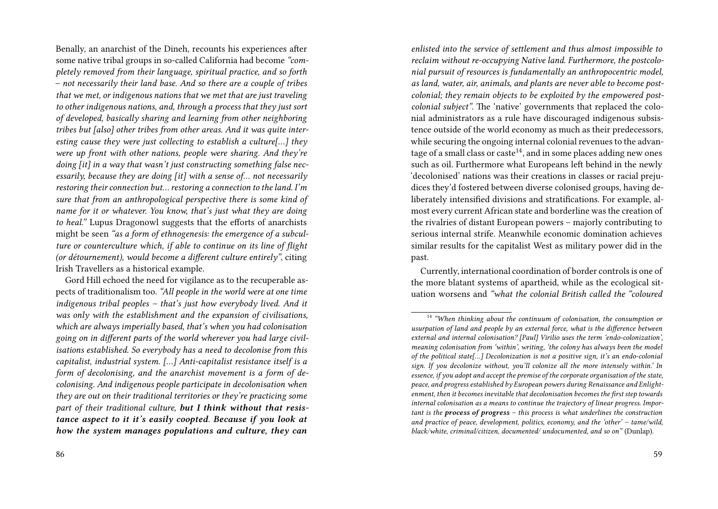Benally, an anarchist of the Dineh, recounts his experiences after some native tribal groups in so-called California had become *"completely removed from their language, spiritual practice, and so forth – not necessarily their land base. And so there are a couple of tribes that we met, or indigenous nations that we met that are just traveling to other indigenous nations, and, through a process that they just sort of developed, basically sharing and learning from other neighboring tribes but [also] other tribes from other areas. And it was quite interesting cause they were just collecting to establish a culture[…] they were up front with other nations, people were sharing. And they're doing [it] in a way that wasn't just constructing something false necessarily, because they are doing [it] with a sense of… not necessarily restoring their connection but… restoring a connection to the land. I'm sure that from an anthropological perspective there is some kind of name for it or whatever. You know, that's just what they are doing to heal."* Lupus Dragonowl suggests that the efforts of anarchists might be seen *"as a form of ethnogenesis: the emergence of a subculture or counterculture which, if able to continue on its line of flight (or détournement), would become a different culture entirely"*, citing Irish Travellers as a historical example.

Gord Hill echoed the need for vigilance as to the recuperable aspects of traditionalism too. *"All people in the world were at one time indigenous tribal peoples – that's just how everybody lived. And it was only with the establishment and the expansion of civilisations, which are always imperially based, that's when you had colonisation going on in different parts of the world wherever you had large civilisations established. So everybody has a need to decolonise from this capitalist, industrial system. […] Anti-capitalist resistance itself is a form of decolonising, and the anarchist movement is a form of decolonising. And indigenous people participate in decolonisation when they are out on their traditional territories or they're practicing some part of their traditional culture, but I think without that resistance aspect to it it's easily coopted. Because if you look at how the system manages populations and culture, they can*

86

*enlisted into the service of settlement and thus almost impossible to reclaim without re-occupying Native land. Furthermore, the postcolonial pursuit of resources is fundamentally an anthropocentric model, as land, water, air, animals, and plants are never able to become postcolonial; they remain objects to be exploited by the empowered postcolonial subject"*. The 'native' governments that replaced the colonial administrators as a rule have discouraged indigenous subsistence outside of the world economy as much as their predecessors, while securing the ongoing internal colonial revenues to the advantage of a small class or caste<sup>14</sup>, and in some places adding new ones such as oil. Furthermore what Europeans left behind in the newly 'decolonised' nations was their creations in classes or racial prejudices they'd fostered between diverse colonised groups, having deliberately intensified divisions and stratifications. For example, almost every current African state and borderline was the creation of the rivalries of distant European powers – majorly contributing to serious internal strife. Meanwhile economic domination achieves similar results for the capitalist West as military power did in the past.

Currently, international coordination of border controls is one of the more blatant systems of apartheid, while as the ecological situation worsens and *"what the colonial British called the "coloured*

<sup>14</sup> *"When thinking about the continuum of colonisation, the consumption or usurpation of land and people by an external force, what is the difference between external and internal colonisation? [Paul] Virilio uses the term 'endo-colonization', meaning colonisation from 'within', writing, 'the colony has always been the model of the political state[…] Decolonization is not a positive sign, it's an endo-colonial sign. If you decolonize without, you'll colonize all the more intensely within.' In essence, if you adopt and accept the premise of the corporate organisation of the state, peace, and progress established by European powers during Renaissance and Enlightenment, then it becomes inevitable that decolonisation becomes the first step towards internal colonisation as a means to continue the trajectory of linear progress. Important is the process of progress – this process is what underlines the construction and practice of peace, development, politics, economy, and the 'other' – tame/wild, black/white, criminal/citizen, documented/ undocumented, and so on"* (Dunlap).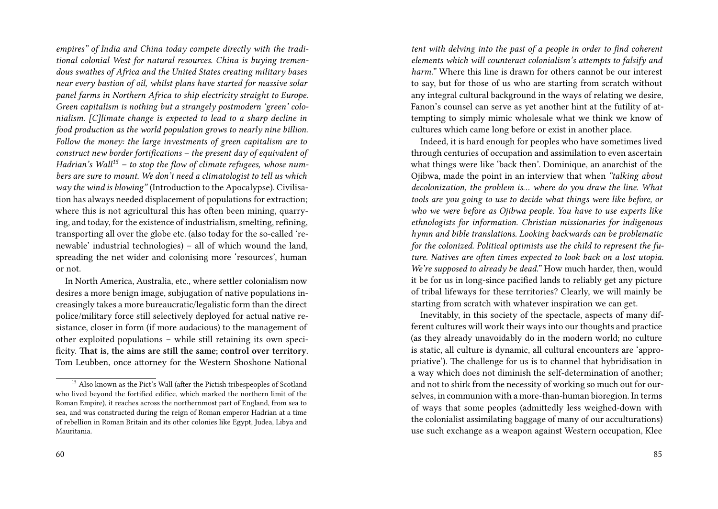*empires" of India and China today compete directly with the traditional colonial West for natural resources. China is buying tremendous swathes of Africa and the United States creating military bases near every bastion of oil, whilst plans have started for massive solar panel farms in Northern Africa to ship electricity straight to Europe. Green capitalism is nothing but a strangely postmodern 'green' colonialism. [C]limate change is expected to lead to a sharp decline in food production as the world population grows to nearly nine billion. Follow the money: the large investments of green capitalism are to construct new border fortifications – the present day of equivalent of Hadrian's Wall<sup>15</sup> – to stop the flow of climate refugees, whose numbers are sure to mount. We don't need a climatologist to tell us which way the wind is blowing"* (Introduction to the Apocalypse). Civilisation has always needed displacement of populations for extraction; where this is not agricultural this has often been mining, quarrying, and today, for the existence of industrialism, smelting, refining, transporting all over the globe etc. (also today for the so-called 'renewable' industrial technologies) – all of which wound the land, spreading the net wider and colonising more 'resources', human or not.

In North America, Australia, etc., where settler colonialism now desires a more benign image, subjugation of native populations increasingly takes a more bureaucratic/legalistic form than the direct police/military force still selectively deployed for actual native resistance, closer in form (if more audacious) to the management of other exploited populations – while still retaining its own specificity. **That is, the aims are still the same; control over territory.** Tom Leubben, once attorney for the Western Shoshone National

*tent with delving into the past of a people in order to find coherent elements which will counteract colonialism's attempts to falsify and harm.*" Where this line is drawn for others cannot be our interest to say, but for those of us who are starting from scratch without any integral cultural background in the ways of relating we desire, Fanon's counsel can serve as yet another hint at the futility of attempting to simply mimic wholesale what we think we know of cultures which came long before or exist in another place.

Indeed, it is hard enough for peoples who have sometimes lived through centuries of occupation and assimilation to even ascertain what things were like 'back then'. Dominique, an anarchist of the Ojibwa, made the point in an interview that when *"talking about decolonization, the problem is… where do you draw the line. What tools are you going to use to decide what things were like before, or who we were before as Ojibwa people. You have to use experts like ethnologists for information. Christian missionaries for indigenous hymn and bible translations. Looking backwards can be problematic for the colonized. Political optimists use the child to represent the future. Natives are often times expected to look back on a lost utopia. We're supposed to already be dead."* How much harder, then, would it be for us in long-since pacified lands to reliably get any picture of tribal lifeways for these territories? Clearly, we will mainly be starting from scratch with whatever inspiration we can get.

Inevitably, in this society of the spectacle, aspects of many different cultures will work their ways into our thoughts and practice (as they already unavoidably do in the modern world; no culture is static, all culture is dynamic, all cultural encounters are 'appropriative'). The challenge for us is to channel that hybridisation in a way which does not diminish the self-determination of another; and not to shirk from the necessity of working so much out for ourselves, in communion with a more-than-human bioregion. In terms of ways that some peoples (admittedly less weighed-down with the colonialist assimilating baggage of many of our acculturations) use such exchange as a weapon against Western occupation, Klee

<sup>&</sup>lt;sup>15</sup> Also known as the Pict's Wall (after the Pictish tribespeoples of Scotland who lived beyond the fortified edifice, which marked the northern limit of the Roman Empire), it reaches across the northernmost part of England, from sea to sea, and was constructed during the reign of Roman emperor Hadrian at a time of rebellion in Roman Britain and its other colonies like Egypt, Judea, Libya and Mauritania.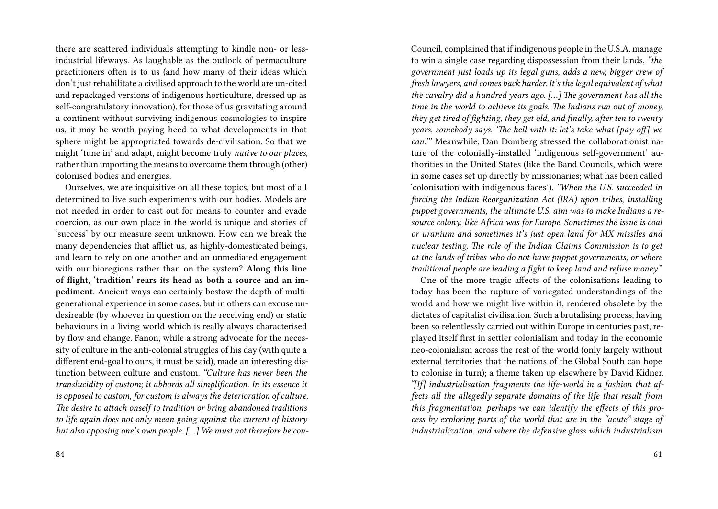there are scattered individuals attempting to kindle non- or lessindustrial lifeways. As laughable as the outlook of permaculture practitioners often is to us (and how many of their ideas which don't just rehabilitate a civilised approach to the world are un-cited and repackaged versions of indigenous horticulture, dressed up as self-congratulatory innovation), for those of us gravitating around a continent without surviving indigenous cosmologies to inspire us, it may be worth paying heed to what developments in that sphere might be appropriated towards de-civilisation. So that we might 'tune in' and adapt, might become truly *native to our places,* rather than importing the means to overcome them through (other) colonised bodies and energies.

Ourselves, we are inquisitive on all these topics, but most of all determined to live such experiments with our bodies. Models are not needed in order to cast out for means to counter and evade coercion, as our own place in the world is unique and stories of 'success' by our measure seem unknown. How can we break the many dependencies that afflict us, as highly-domesticated beings, and learn to rely on one another and an unmediated engagement with our bioregions rather than on the system? **Along this line of flight, 'tradition' rears its head as both a source and an impediment.** Ancient ways can certainly bestow the depth of multigenerational experience in some cases, but in others can excuse undesireable (by whoever in question on the receiving end) or static behaviours in a living world which is really always characterised by flow and change. Fanon, while a strong advocate for the necessity of culture in the anti-colonial struggles of his day (with quite a different end-goal to ours, it must be said), made an interesting distinction between culture and custom. *"Culture has never been the translucidity of custom; it abhords all simplification. In its essence it is opposed to custom, for custom is always the deterioration of culture. The desire to attach onself to tradition or bring abandoned traditions to life again does not only mean going against the current of history but also opposing one's own people. […] We must not therefore be con-* Council, complained that if indigenous people in the U.S.A. manage to win a single case regarding dispossession from their lands, *"the government just loads up its legal guns, adds a new, bigger crew of fresh lawyers, and comes back harder. It's the legal equivalent of what the cavalry did a hundred years ago. […] The government has all the time in the world to achieve its goals. The Indians run out of money, they get tired of fighting, they get old, and finally, after ten to twenty years, somebody says, 'The hell with it: let's take what [pay-off] we can.'"* Meanwhile, Dan Domberg stressed the collaborationist nature of the colonially-installed 'indigenous self-government' authorities in the United States (like the Band Councils, which were in some cases set up directly by missionaries; what has been called 'colonisation with indigenous faces'). *"When the U.S. succeeded in forcing the Indian Reorganization Act (IRA) upon tribes, installing puppet governments, the ultimate U.S. aim was to make Indians a resource colony, like Africa was for Europe. Sometimes the issue is coal or uranium and sometimes it's just open land for MX missiles and nuclear testing. The role of the Indian Claims Commission is to get at the lands of tribes who do not have puppet governments, or where traditional people are leading a fight to keep land and refuse money."*

One of the more tragic affects of the colonisations leading to today has been the rupture of variegated understandings of the world and how we might live within it, rendered obsolete by the dictates of capitalist civilisation. Such a brutalising process, having been so relentlessly carried out within Europe in centuries past, replayed itself first in settler colonialism and today in the economic neo-colonialism across the rest of the world (only largely without external territories that the nations of the Global South can hope to colonise in turn); a theme taken up elsewhere by David Kidner. *"[If] industrialisation fragments the life-world in a fashion that affects all the allegedly separate domains of the life that result from this fragmentation, perhaps we can identify the effects of this process by exploring parts of the world that are in the "acute" stage of industrialization, and where the defensive gloss which industrialism*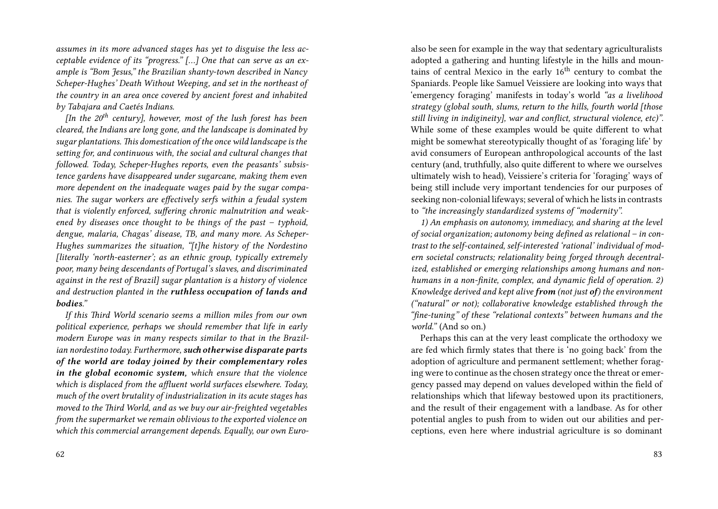*assumes in its more advanced stages has yet to disguise the less acceptable evidence of its "progress." […] One that can serve as an example is "Bom Jesus," the Brazilian shanty-town described in Nancy Scheper-Hughes' Death Without Weeping, and set in the northeast of the country in an area once covered by ancient forest and inhabited by Tabajara and Caetés Indians.*

*[In the 20th century], however, most of the lush forest has been cleared, the Indians are long gone, and the landscape is dominated by sugar plantations. This domestication of the once wild landscape is the setting for, and continuous with, the social and cultural changes that followed. Today, Scheper-Hughes reports, even the peasants' subsistence gardens have disappeared under sugarcane, making them even more dependent on the inadequate wages paid by the sugar companies. The sugar workers are effectively serfs within a feudal system that is violently enforced, suffering chronic malnutrition and weakened by diseases once thought to be things of the past – typhoid, dengue, malaria, Chagas' disease, TB, and many more. As Scheper-Hughes summarizes the situation, "[t]he history of the Nordestino [literally 'north-easterner'; as an ethnic group, typically extremely poor, many being descendants of Portugal's slaves, and discriminated against in the rest of Brazil] sugar plantation is a history of violence and destruction planted in the ruthless occupation of lands and bodies."*

*If this Third World scenario seems a million miles from our own political experience, perhaps we should remember that life in early modern Europe was in many respects similar to that in the Brazilian nordestino today. Furthermore, such otherwise disparate parts of the world are today joined by their complementary roles in the global economic system, which ensure that the violence which is displaced from the affluent world surfaces elsewhere. Today, much of the overt brutality of industrialization in its acute stages has moved to the Third World, and as we buy our air-freighted vegetables from the supermarket we remain oblivious to the exported violence on which this commercial arrangement depends. Equally, our own Euro-* also be seen for example in the way that sedentary agriculturalists adopted a gathering and hunting lifestyle in the hills and mountains of central Mexico in the early  $16<sup>th</sup>$  century to combat the Spaniards. People like Samuel Veissiere are looking into ways that 'emergency foraging' manifests in today's world *"as a livelihood strategy (global south, slums, return to the hills, fourth world [those still living in indigineity], war and conflict, structural violence, etc)"*. While some of these examples would be quite different to what might be somewhat stereotypically thought of as 'foraging life' by avid consumers of European anthropological accounts of the last century (and, truthfully, also quite different to where we ourselves ultimately wish to head), Veissiere's criteria for 'foraging' ways of being still include very important tendencies for our purposes of seeking non-colonial lifeways; several of which he lists in contrasts to *"the increasingly standardized systems of "modernity".*

*1) An emphasis on autonomy, immediacy, and sharing at the level of social organization; autonomy being defined as relational – in contrast to the self-contained, self-interested 'rational' individual of modern societal constructs; relationality being forged through decentralized, established or emerging relationships among humans and nonhumans in a non-finite, complex, and dynamic field of operation. 2) Knowledge derived and kept alive from (not just of) the environment ("natural" or not); collaborative knowledge established through the "fine-tuning" of these "relational contexts" between humans and the world."* (And so on.)

Perhaps this can at the very least complicate the orthodoxy we are fed which firmly states that there is 'no going back' from the adoption of agriculture and permanent settlement; whether foraging were to continue as the chosen strategy once the threat or emergency passed may depend on values developed within the field of relationships which that lifeway bestowed upon its practitioners, and the result of their engagement with a landbase. As for other potential angles to push from to widen out our abilities and perceptions, even here where industrial agriculture is so dominant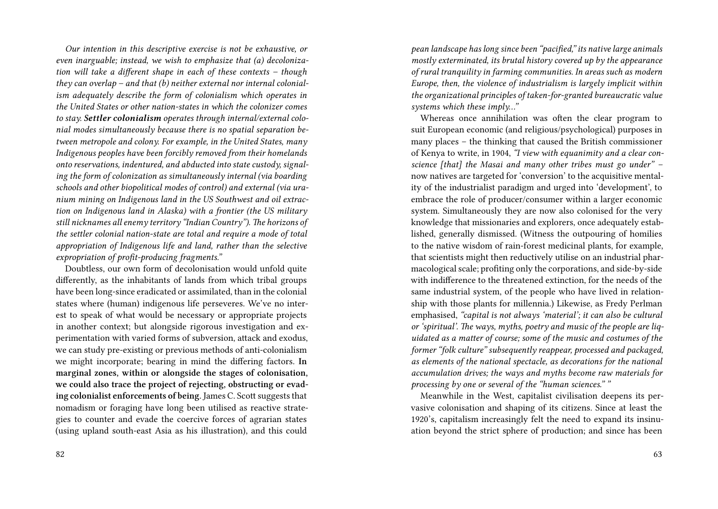*Our intention in this descriptive exercise is not be exhaustive, or even inarguable; instead, we wish to emphasize that (a) decolonization will take a different shape in each of these contexts – though they can overlap – and that (b) neither external nor internal colonialism adequately describe the form of colonialism which operates in the United States or other nation-states in which the colonizer comes to stay. Settler colonialism operates through internal/external colonial modes simultaneously because there is no spatial separation between metropole and colony. For example, in the United States, many Indigenous peoples have been forcibly removed from their homelands onto reservations, indentured, and abducted into state custody, signaling the form of colonization as simultaneously internal (via boarding schools and other biopolitical modes of control) and external (via uranium mining on Indigenous land in the US Southwest and oil extraction on Indigenous land in Alaska) with a frontier (the US military still nicknames all enemy territory "Indian Country"). The horizons of the settler colonial nation-state are total and require a mode of total appropriation of Indigenous life and land, rather than the selective expropriation of profit-producing fragments."*

Doubtless, our own form of decolonisation would unfold quite differently, as the inhabitants of lands from which tribal groups have been long-since eradicated or assimilated, than in the colonial states where (human) indigenous life perseveres. We've no interest to speak of what would be necessary or appropriate projects in another context; but alongside rigorous investigation and experimentation with varied forms of subversion, attack and exodus, we can study pre-existing or previous methods of anti-colonialism we might incorporate; bearing in mind the differing factors. **In marginal zones, within or alongside the stages of colonisation, we could also trace the project of rejecting, obstructing or evading colonialist enforcements of being.** James C. Scott suggests that nomadism or foraging have long been utilised as reactive strategies to counter and evade the coercive forces of agrarian states (using upland south-east Asia as his illustration), and this could *pean landscape has long since been "pacified," its native large animals mostly exterminated, its brutal history covered up by the appearance of rural tranquility in farming communities. In areas such as modern Europe, then, the violence of industrialism is largely implicit within the organizational principles of taken-for-granted bureaucratic value systems which these imply…"*

Whereas once annihilation was often the clear program to suit European economic (and religious/psychological) purposes in many places – the thinking that caused the British commissioner of Kenya to write, in 1904, *"I view with equanimity and a clear conscience [that] the Masai and many other tribes must go under"* – now natives are targeted for 'conversion' to the acquisitive mentality of the industrialist paradigm and urged into 'development', to embrace the role of producer/consumer within a larger economic system. Simultaneously they are now also colonised for the very knowledge that missionaries and explorers, once adequately established, generally dismissed. (Witness the outpouring of homilies to the native wisdom of rain-forest medicinal plants, for example, that scientists might then reductively utilise on an industrial pharmacological scale; profiting only the corporations, and side-by-side with indifference to the threatened extinction, for the needs of the same industrial system, of the people who have lived in relationship with those plants for millennia.) Likewise, as Fredy Perlman emphasised, *"capital is not always 'material'; it can also be cultural or 'spiritual'. The ways, myths, poetry and music of the people are liquidated as a matter of course; some of the music and costumes of the former "folk culture" subsequently reappear, processed and packaged, as elements of the national spectacle, as decorations for the national accumulation drives; the ways and myths become raw materials for processing by one or several of the "human sciences." "*

Meanwhile in the West, capitalist civilisation deepens its pervasive colonisation and shaping of its citizens. Since at least the 1920's, capitalism increasingly felt the need to expand its insinuation beyond the strict sphere of production; and since has been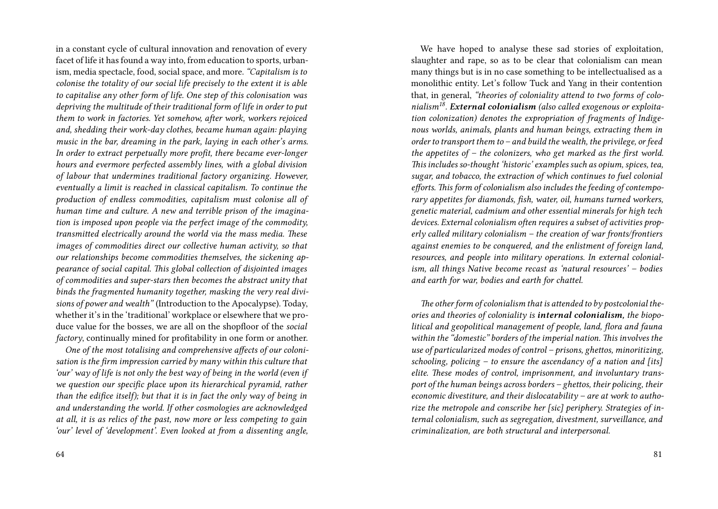in a constant cycle of cultural innovation and renovation of every facet of life it has found a way into, from education to sports, urbanism, media spectacle, food, social space, and more. *"Capitalism is to colonise the totality of our social life precisely to the extent it is able to capitalise any other form of life. One step of this colonisation was depriving the multitude of their traditional form of life in order to put them to work in factories. Yet somehow, after work, workers rejoiced and, shedding their work-day clothes, became human again: playing music in the bar, dreaming in the park, laying in each other's arms. In order to extract perpetually more profit, there became ever-longer hours and evermore perfected assembly lines, with a global division of labour that undermines traditional factory organizing. However, eventually a limit is reached in classical capitalism. To continue the production of endless commodities, capitalism must colonise all of human time and culture. A new and terrible prison of the imagination is imposed upon people via the perfect image of the commodity, transmitted electrically around the world via the mass media. These images of commodities direct our collective human activity, so that our relationships become commodities themselves, the sickening appearance of social capital. This global collection of disjointed images of commodities and super-stars then becomes the abstract unity that binds the fragmented humanity together, masking the very real divisions of power and wealth"* (Introduction to the Apocalypse). Today, whether it's in the 'traditional' workplace or elsewhere that we produce value for the bosses, we are all on the shopfloor of the *social factory*, continually mined for profitability in one form or another.

*One of the most totalising and comprehensive affects of our colonisation is the firm impression carried by many within this culture that 'our' way of life is not only the best way of being in the world (even if we question our specific place upon its hierarchical pyramid, rather than the edifice itself); but that it is in fact the only way of being in and understanding the world. If other cosmologies are acknowledged at all, it is as relics of the past, now more or less competing to gain 'our' level of 'development'. Even looked at from a dissenting angle,*

We have hoped to analyse these sad stories of exploitation, slaughter and rape, so as to be clear that colonialism can mean many things but is in no case something to be intellectualised as a monolithic entity. Let's follow Tuck and Yang in their contention that, in general, *"theories of coloniality attend to two forms of colonialism<sup>18</sup> . External colonialism (also called exogenous or exploitation colonization) denotes the expropriation of fragments of Indigenous worlds, animals, plants and human beings, extracting them in order to transport them to – and build the wealth, the privilege, or feed the appetites of – the colonizers, who get marked as the first world. This includes so-thought 'historic' examples such as opium, spices, tea, sugar, and tobacco, the extraction of which continues to fuel colonial efforts. This form of colonialism also includes the feeding of contemporary appetites for diamonds, fish, water, oil, humans turned workers, genetic material, cadmium and other essential minerals for high tech devices. External colonialism often requires a subset of activities properly called military colonialism – the creation of war fronts/frontiers against enemies to be conquered, and the enlistment of foreign land, resources, and people into military operations. In external colonialism, all things Native become recast as 'natural resources' – bodies and earth for war, bodies and earth for chattel.*

*The other form of colonialism that is attended to by postcolonial theories and theories of coloniality is internal colonialism, the biopolitical and geopolitical management of people, land, flora and fauna within the "domestic" borders of the imperial nation. This involves the use of particularized modes of control – prisons, ghettos, minoritizing, schooling, policing – to ensure the ascendancy of a nation and [its] elite. These modes of control, imprisonment, and involuntary transport of the human beings across borders – ghettos, their policing, their economic divestiture, and their dislocatability – are at work to authorize the metropole and conscribe her [sic] periphery. Strategies of internal colonialism, such as segregation, divestment, surveillance, and criminalization, are both structural and interpersonal.*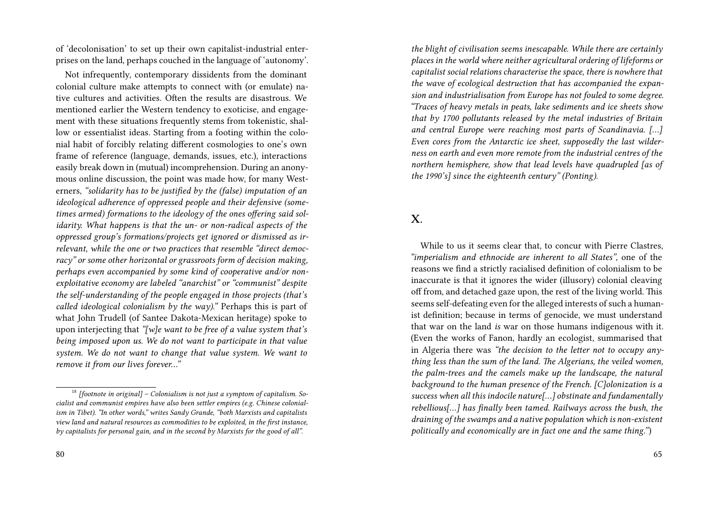of 'decolonisation' to set up their own capitalist-industrial enterprises on the land, perhaps couched in the language of 'autonomy'.

Not infrequently, contemporary dissidents from the dominant colonial culture make attempts to connect with (or emulate) native cultures and activities. Often the results are disastrous. We mentioned earlier the Western tendency to exoticise, and engagement with these situations frequently stems from tokenistic, shallow or essentialist ideas. Starting from a footing within the colonial habit of forcibly relating different cosmologies to one's own frame of reference (language, demands, issues, etc.), interactions easily break down in (mutual) incomprehension. During an anonymous online discussion, the point was made how, for many Westerners, *"solidarity has to be justified by the (false) imputation of an ideological adherence of oppressed people and their defensive (sometimes armed) formations to the ideology of the ones offering said solidarity. What happens is that the un- or non-radical aspects of the oppressed group's formations/projects get ignored or dismissed as irrelevant, while the one or two practices that resemble "direct democracy" or some other horizontal or grassroots form of decision making, perhaps even accompanied by some kind of cooperative and/or nonexploitative economy are labeled "anarchist" or "communist" despite the self-understanding of the people engaged in those projects (that's called ideological colonialism by the way)."* Perhaps this is part of what John Trudell (of Santee Dakota-Mexican heritage) spoke to upon interjecting that *"[w]e want to be free of a value system that's being imposed upon us. We do not want to participate in that value system. We do not want to change that value system. We want to remove it from our lives forever…"*

*the blight of civilisation seems inescapable. While there are certainly places in the world where neither agricultural ordering of lifeforms or capitalist social relations characterise the space, there is nowhere that the wave of ecological destruction that has accompanied the expansion and industrialisation from Europe has not fouled to some degree. "Traces of heavy metals in peats, lake sediments and ice sheets show that by 1700 pollutants released by the metal industries of Britain and central Europe were reaching most parts of Scandinavia. […] Even cores from the Antarctic ice sheet, supposedly the last wilderness on earth and even more remote from the industrial centres of the northern hemisphere, show that lead levels have quadrupled [as of the 1990's] since the eighteenth century" (Ponting).*

#### **X.**

While to us it seems clear that, to concur with Pierre Clastres, *"imperialism and ethnocide are inherent to all States"*, one of the reasons we find a strictly racialised definition of colonialism to be inaccurate is that it ignores the wider (illusory) colonial cleaving off from, and detached gaze upon, the rest of the living world. This seems self-defeating even for the alleged interests of such a humanist definition; because in terms of genocide, we must understand that war on the land *is* war on those humans indigenous with it. (Even the works of Fanon, hardly an ecologist, summarised that in Algeria there was *"the decision to the letter not to occupy anything less than the sum of the land. The Algerians, the veiled women, the palm-trees and the camels make up the landscape, the natural background to the human presence of the French. [C]olonization is a success when all this indocile nature[…] obstinate and fundamentally rebellious[…] has finally been tamed. Railways across the bush, the draining of the swamps and a native population which is non-existent politically and economically are in fact one and the same thing."*)

<sup>18</sup> *[footnote in original] – Colonialism is not just a symptom of capitalism. Socialist and communist empires have also been settler empires (e.g. Chinese colonialism in Tibet). "In other words," writes Sandy Grande, "both Marxists and capitalists view land and natural resources as commodities to be exploited, in the first instance, by capitalists for personal gain, and in the second by Marxists for the good of all".*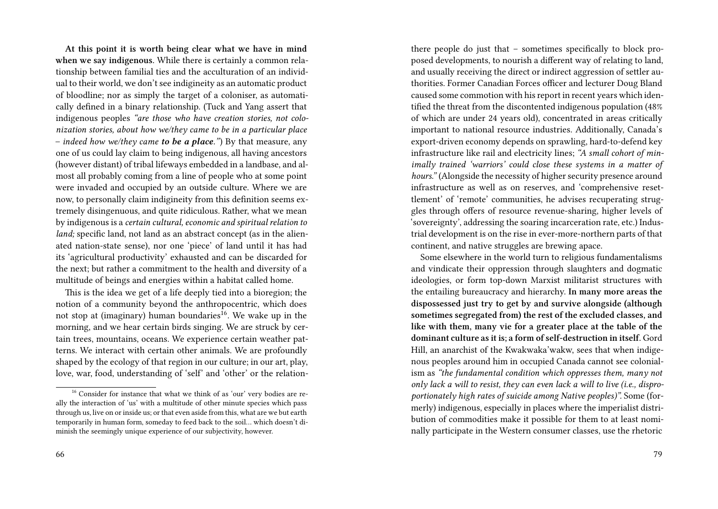**At this point it is worth being clear what we have in mind when we say indigenous.** While there is certainly a common relationship between familial ties and the acculturation of an individual to their world, we don't see indigineity as an automatic product of bloodline; nor as simply the target of a coloniser, as automatically defined in a binary relationship. (Tuck and Yang assert that indigenous peoples *"are those who have creation stories, not colonization stories, about how we/they came to be in a particular place – indeed how we/they came to be a place."*) By that measure, any one of us could lay claim to being indigenous, all having ancestors (however distant) of tribal lifeways embedded in a landbase, and almost all probably coming from a line of people who at some point were invaded and occupied by an outside culture. Where we are now, to personally claim indigineity from this definition seems extremely disingenuous, and quite ridiculous. Rather, what we mean by indigenous is a *certain cultural, economic and spiritual relation to land*; specific land, not land as an abstract concept (as in the alienated nation-state sense), nor one 'piece' of land until it has had its 'agricultural productivity' exhausted and can be discarded for the next; but rather a commitment to the health and diversity of a multitude of beings and energies within a habitat called home.

This is the idea we get of a life deeply tied into a bioregion; the notion of a community beyond the anthropocentric, which does not stop at (imaginary) human boundaries<sup>16</sup>. We wake up in the morning, and we hear certain birds singing. We are struck by certain trees, mountains, oceans. We experience certain weather patterns. We interact with certain other animals. We are profoundly shaped by the ecology of that region in our culture; in our art, play, love, war, food, understanding of 'self' and 'other' or the relation-

there people do just that – sometimes specifically to block proposed developments, to nourish a different way of relating to land, and usually receiving the direct or indirect aggression of settler authorities. Former Canadian Forces officer and lecturer Doug Bland caused some commotion with his report in recent years which identified the threat from the discontented indigenous population (48% of which are under 24 years old), concentrated in areas critically important to national resource industries. Additionally, Canada's export-driven economy depends on sprawling, hard-to-defend key infrastructure like rail and electricity lines; *"A small cohort of minimally trained 'warriors' could close these systems in a matter of hours."* (Alongside the necessity of higher security presence around infrastructure as well as on reserves, and 'comprehensive resettlement' of 'remote' communities, he advises recuperating struggles through offers of resource revenue-sharing, higher levels of 'sovereignty', addressing the soaring incarceration rate, etc.) Industrial development is on the rise in ever-more-northern parts of that continent, and native struggles are brewing apace.

Some elsewhere in the world turn to religious fundamentalisms and vindicate their oppression through slaughters and dogmatic ideologies, or form top-down Marxist militarist structures with the entailing bureaucracy and hierarchy. **In many more areas the dispossessed just try to get by and survive alongside (although sometimes segregated from) the rest of the excluded classes, and like with them, many vie for a greater place at the table of the dominant culture as it is; a form of self-destruction in itself.** Gord Hill, an anarchist of the Kwakwaka'wakw, sees that when indigenous peoples around him in occupied Canada cannot see colonialism as *"the fundamental condition which oppresses them, many not only lack a will to resist, they can even lack a will to live (i.e., disproportionately high rates of suicide among Native peoples)".* Some (formerly) indigenous, especially in places where the imperialist distribution of commodities make it possible for them to at least nominally participate in the Western consumer classes, use the rhetoric

<sup>&</sup>lt;sup>16</sup> Consider for instance that what we think of as 'our' very bodies are really the interaction of 'us' with a multitude of other minute species which pass through us, live on or inside us; or that even aside from this, what are we but earth temporarily in human form, someday to feed back to the soil… which doesn't diminish the seemingly unique experience of our subjectivity, however.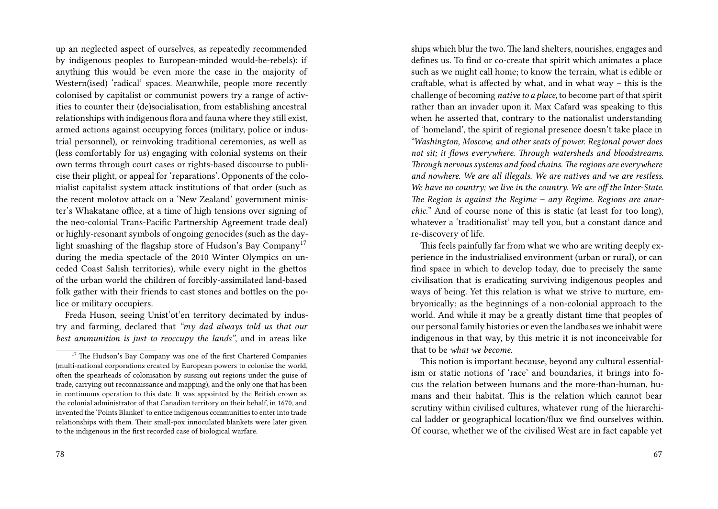up an neglected aspect of ourselves, as repeatedly recommended by indigenous peoples to European-minded would-be-rebels): if anything this would be even more the case in the majority of Western(ised) 'radical' spaces. Meanwhile, people more recently colonised by capitalist or communist powers try a range of activities to counter their (de)socialisation, from establishing ancestral relationships with indigenous flora and fauna where they still exist, armed actions against occupying forces (military, police or industrial personnel), or reinvoking traditional ceremonies, as well as (less comfortably for us) engaging with colonial systems on their own terms through court cases or rights-based discourse to publicise their plight, or appeal for 'reparations'. Opponents of the colonialist capitalist system attack institutions of that order (such as the recent molotov attack on a 'New Zealand' government minister's Whakatane office, at a time of high tensions over signing of the neo-colonial Trans-Pacific Partnership Agreement trade deal) or highly-resonant symbols of ongoing genocides (such as the daylight smashing of the flagship store of Hudson's Bay Company<sup>17</sup> during the media spectacle of the 2010 Winter Olympics on unceded Coast Salish territories), while every night in the ghettos of the urban world the children of forcibly-assimilated land-based folk gather with their friends to cast stones and bottles on the police or military occupiers.

Freda Huson, seeing Unist'ot'en territory decimated by industry and farming, declared that *"my dad always told us that our best ammunition is just to reoccupy the lands"*, and in areas like

ships which blur the two. The land shelters, nourishes, engages and defines us. To find or co-create that spirit which animates a place such as we might call home; to know the terrain, what is edible or craftable, what is affected by what, and in what way – this is the challenge of becoming *native to a place,* to become part of that spirit rather than an invader upon it. Max Cafard was speaking to this when he asserted that, contrary to the nationalist understanding of 'homeland', the spirit of regional presence doesn't take place in *"Washington, Moscow, and other seats of power. Regional power does not sit; it flows everywhere. Through watersheds and bloodstreams. Through nervous systems and food chains. The regions are everywhere and nowhere. We are all illegals. We are natives and we are restless. We have no country; we live in the country. We are off the Inter-State. The Region is against the Regime – any Regime. Regions are anarchic."* And of course none of this is static (at least for too long), whatever a 'traditionalist' may tell you, but a constant dance and re-discovery of life.

This feels painfully far from what we who are writing deeply experience in the industrialised environment (urban or rural), or can find space in which to develop today, due to precisely the same civilisation that is eradicating surviving indigenous peoples and ways of being. Yet this relation is what we strive to nurture, embryonically; as the beginnings of a non-colonial approach to the world. And while it may be a greatly distant time that peoples of our personal family histories or even the landbases we inhabit were indigenous in that way, by this metric it is not inconceivable for that to be *what we become.*

This notion is important because, beyond any cultural essentialism or static notions of 'race' and boundaries, it brings into focus the relation between humans and the more-than-human, humans and their habitat. This is the relation which cannot bear scrutiny within civilised cultures, whatever rung of the hierarchical ladder or geographical location/flux we find ourselves within. Of course, whether we of the civilised West are in fact capable yet

<sup>&</sup>lt;sup>17</sup> The Hudson's Bay Company was one of the first Chartered Companies (multi-national corporations created by European powers to colonise the world, often the spearheads of colonisation by sussing out regions under the guise of trade, carrying out reconnaissance and mapping), and the only one that has been in continuous operation to this date. It was appointed by the British crown as the colonial administrator of that Canadian territory on their behalf, in 1670, and invented the 'Points Blanket' to entice indigenous communities to enter into trade relationships with them. Their small-pox innoculated blankets were later given to the indigenous in the first recorded case of biological warfare.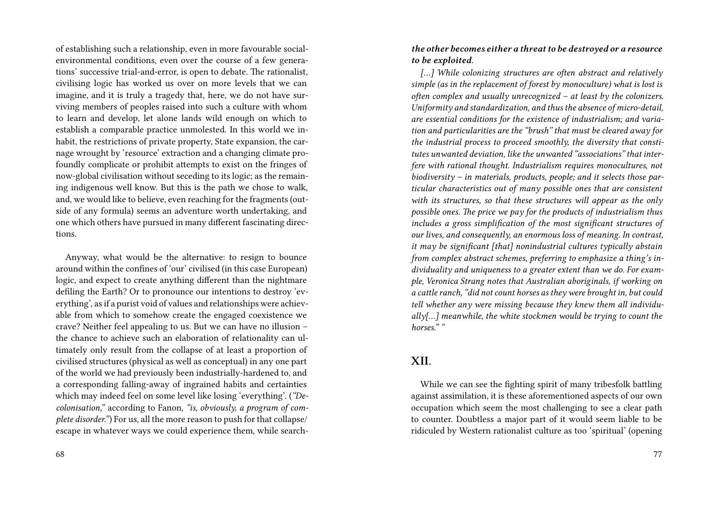of establishing such a relationship, even in more favourable socialenvironmental conditions, even over the course of a few generations' successive trial-and-error, is open to debate. The rationalist, civilising logic has worked us over on more levels that we can imagine, and it is truly a tragedy that, here, we do not have surviving members of peoples raised into such a culture with whom to learn and develop, let alone lands wild enough on which to establish a comparable practice unmolested. In this world we inhabit, the restrictions of private property, State expansion, the carnage wrought by 'resource' extraction and a changing climate profoundly complicate or prohibit attempts to exist on the fringes of now-global civilisation without seceding to its logic; as the remaining indigenous well know. But this is the path we chose to walk, and, we would like to believe, even reaching for the fragments (outside of any formula) seems an adventure worth undertaking, and one which others have pursued in many different fascinating directions.

Anyway, what would be the alternative: to resign to bounce around within the confines of 'our' civilised (in this case European) logic, and expect to create anything different than the nightmare defiling the Earth? Or to pronounce our intentions to destroy 'everything', as if a purist void of values and relationships were achievable from which to somehow create the engaged coexistence we crave? Neither feel appealing to us. But we can have no illusion – the chance to achieve such an elaboration of relationality can ultimately only result from the collapse of at least a proportion of civilised structures (physical as well as conceptual) in any one part of the world we had previously been industrially-hardened to, and a corresponding falling-away of ingrained habits and certainties which may indeed feel on some level like losing 'everything'. (*"Decolonisation,"* according to Fanon, *"is, obviously, a program of complete disorder."*) For us, all the more reason to push for that collapse/ escape in whatever ways we could experience them, while search-

#### *the other becomes either a threat to be destroyed or a resource to be exploited.*

*[…] While colonizing structures are often abstract and relatively simple (as in the replacement of forest by monoculture) what is lost is often complex and usually unrecognized – at least by the colonizers. Uniformity and standardization, and thus the absence of micro-detail, are essential conditions for the existence of industrialism; and variation and particularities are the "brush" that must be cleared away for the industrial process to proceed smoothly, the diversity that constitutes unwanted deviation, like the unwanted "associations" that interfere with rational thought. Industrialism requires monocultures, not biodiversity – in materials, products, people; and it selects those particular characteristics out of many possible ones that are consistent with its structures, so that these structures will appear as the only possible ones. The price we pay for the products of industrialism thus includes a gross simplification of the most significant structures of our lives, and consequently, an enormous loss of meaning. In contrast, it may be significant [that] nonindustrial cultures typically abstain from complex abstract schemes, preferring to emphasize a thing's individuality and uniqueness to a greater extent than we do. For example, Veronica Strang notes that Australian aboriginals, if working on a cattle ranch, "did not count horses as they were brought in, but could tell whether any were missing because they knew them all individually[…] meanwhile, the white stockmen would be trying to count the horses." "*

## **XII.**

While we can see the fighting spirit of many tribesfolk battling against assimilation, it is these aforementioned aspects of our own occupation which seem the most challenging to see a clear path to counter. Doubtless a major part of it would seem liable to be ridiculed by Western rationalist culture as too 'spiritual' (opening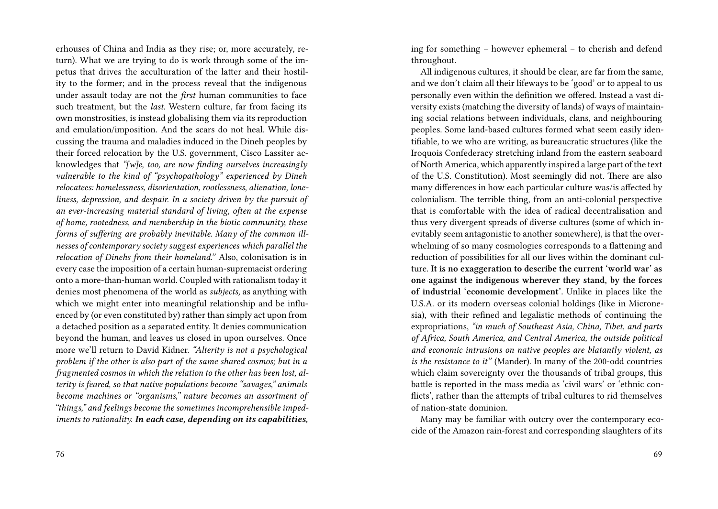erhouses of China and India as they rise; or, more accurately, return). What we are trying to do is work through some of the impetus that drives the acculturation of the latter and their hostility to the former; and in the process reveal that the indigenous under assault today are not the *first* human communities to face such treatment, but the *last.* Western culture, far from facing its own monstrosities, is instead globalising them via its reproduction and emulation/imposition. And the scars do not heal. While discussing the trauma and maladies induced in the Dineh peoples by their forced relocation by the U.S. government, Cisco Lassiter acknowledges that *"[w]e, too, are now finding ourselves increasingly vulnerable to the kind of "psychopathology" experienced by Dineh relocatees: homelessness, disorientation, rootlessness, alienation, loneliness, depression, and despair. In a society driven by the pursuit of an ever-increasing material standard of living, often at the expense of home, rootedness, and membership in the biotic community, these forms of suffering are probably inevitable. Many of the common illnesses of contemporary society suggest experiences which parallel the relocation of Dinehs from their homeland."* Also, colonisation is in every case the imposition of a certain human-supremacist ordering onto a more-than-human world. Coupled with rationalism today it denies most phenomena of the world as *subjects,* as anything with which we might enter into meaningful relationship and be influenced by (or even constituted by) rather than simply act upon from a detached position as a separated entity. It denies communication beyond the human, and leaves us closed in upon ourselves. Once more we'll return to David Kidner. *"Alterity is not a psychological problem if the other is also part of the same shared cosmos; but in a fragmented cosmos in which the relation to the other has been lost, alterity is feared, so that native populations become "savages," animals become machines or "organisms," nature becomes an assortment of "things," and feelings become the sometimes incomprehensible impediments to rationality. In each case, depending on its capabilities,*

throughout.

and we don't claim all their lifeways to be 'good' or to appeal to us personally even within the definition we offered. Instead a vast diversity exists (matching the diversity of lands) of ways of maintaining social relations between individuals, clans, and neighbouring peoples. Some land-based cultures formed what seem easily identifiable, to we who are writing, as bureaucratic structures (like the Iroquois Confederacy stretching inland from the eastern seaboard of North America, which apparently inspired a large part of the text of the U.S. Constitution). Most seemingly did not. There are also many differences in how each particular culture was/is affected by colonialism. The terrible thing, from an anti-colonial perspective that is comfortable with the idea of radical decentralisation and thus very divergent spreads of diverse cultures (some of which inevitably seem antagonistic to another somewhere), is that the overwhelming of so many cosmologies corresponds to a flattening and reduction of possibilities for all our lives within the dominant culture. **It is no exaggeration to describe the current 'world war' as one against the indigenous wherever they stand, by the forces of industrial 'economic development'.** Unlike in places like the U.S.A. or its modern overseas colonial holdings (like in Micronesia), with their refined and legalistic methods of continuing the expropriations, *"in much of Southeast Asia, China, Tibet, and parts of Africa, South America, and Central America, the outside political and economic intrusions on native peoples are blatantly violent, as is the resistance to it"* (Mander). In many of the 200-odd countries which claim sovereignty over the thousands of tribal groups, this battle is reported in the mass media as 'civil wars' or 'ethnic conflicts', rather than the attempts of tribal cultures to rid themselves of nation-state dominion.

ing for something – however ephemeral – to cherish and defend

All indigenous cultures, it should be clear, are far from the same,

Many may be familiar with outcry over the contemporary ecocide of the Amazon rain-forest and corresponding slaughters of its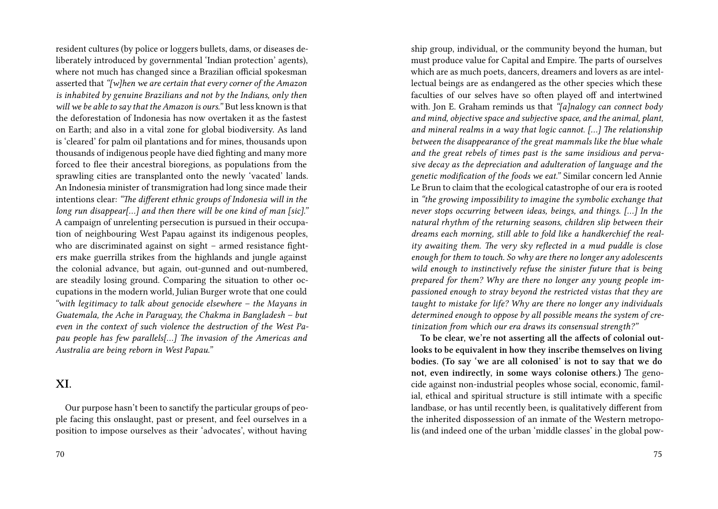resident cultures (by police or loggers bullets, dams, or diseases deliberately introduced by governmental 'Indian protection' agents), where not much has changed since a Brazilian official spokesman asserted that *"[w]hen we are certain that every corner of the Amazon is inhabited by genuine Brazilians and not by the Indians, only then will we be able to say that the Amazon is ours."* But less known is that the deforestation of Indonesia has now overtaken it as the fastest on Earth; and also in a vital zone for global biodiversity. As land is 'cleared' for palm oil plantations and for mines, thousands upon thousands of indigenous people have died fighting and many more forced to flee their ancestral bioregions, as populations from the sprawling cities are transplanted onto the newly 'vacated' lands. An Indonesia minister of transmigration had long since made their intentions clear: *"The different ethnic groups of Indonesia will in the long run disappear[…] and then there will be one kind of man [sic]."* A campaign of unrelenting persecution is pursued in their occupation of neighbouring West Papau against its indigenous peoples, who are discriminated against on sight – armed resistance fighters make guerrilla strikes from the highlands and jungle against the colonial advance, but again, out-gunned and out-numbered, are steadily losing ground. Comparing the situation to other occupations in the modern world, Julian Burger wrote that one could *"with legitimacy to talk about genocide elsewhere – the Mayans in Guatemala, the Ache in Paraguay, the Chakma in Bangladesh – but even in the context of such violence the destruction of the West Papau people has few parallels[…] The invasion of the Americas and Australia are being reborn in West Papau."*

### **XI.**

Our purpose hasn't been to sanctify the particular groups of people facing this onslaught, past or present, and feel ourselves in a position to impose ourselves as their 'advocates', without having ship group, individual, or the community beyond the human, but must produce value for Capital and Empire. The parts of ourselves which are as much poets, dancers, dreamers and lovers as are intellectual beings are as endangered as the other species which these faculties of our selves have so often played off and intertwined with. Jon E. Graham reminds us that *"[a]nalogy can connect body and mind, objective space and subjective space, and the animal, plant, and mineral realms in a way that logic cannot. […] The relationship between the disappearance of the great mammals like the blue whale and the great rebels of times past is the same insidious and pervasive decay as the depreciation and adulteration of language and the genetic modification of the foods we eat."* Similar concern led Annie Le Brun to claim that the ecological catastrophe of our era is rooted in *"the growing impossibility to imagine the symbolic exchange that never stops occurring between ideas, beings, and things. […] In the natural rhythm of the returning seasons, children slip between their dreams each morning, still able to fold like a handkerchief the reality awaiting them. The very sky reflected in a mud puddle is close enough for them to touch. So why are there no longer any adolescents wild enough to instinctively refuse the sinister future that is being prepared for them? Why are there no longer any young people impassioned enough to stray beyond the restricted vistas that they are taught to mistake for life? Why are there no longer any individuals determined enough to oppose by all possible means the system of cretinization from which our era draws its consensual strength?"*

**To be clear, we're not asserting all the affects of colonial outlooks to be equivalent in how they inscribe themselves on living bodies. (To say 'we are all colonised' is not to say that we do not, even indirectly, in some ways colonise others.)** The genocide against non-industrial peoples whose social, economic, familial, ethical and spiritual structure is still intimate with a specific landbase, or has until recently been, is qualitatively different from the inherited dispossession of an inmate of the Western metropolis (and indeed one of the urban 'middle classes' in the global pow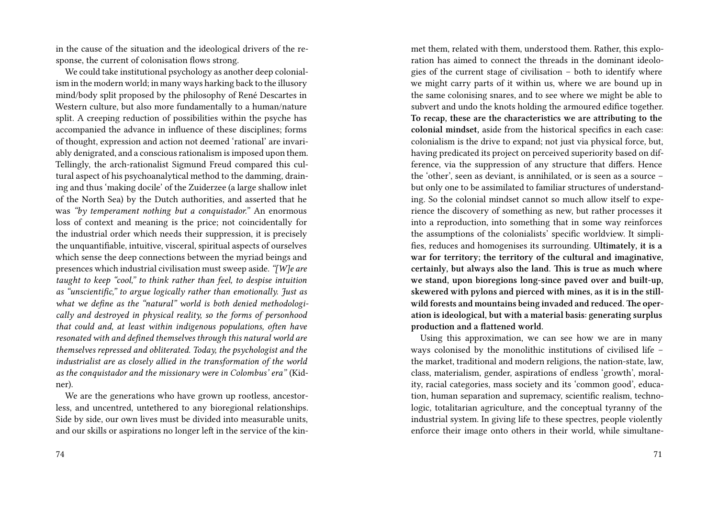in the cause of the situation and the ideological drivers of the response, the current of colonisation flows strong.

We could take institutional psychology as another deep colonialism in the modern world; in many ways harking back to the illusory mind/body split proposed by the philosophy of René Descartes in Western culture, but also more fundamentally to a human/nature split. A creeping reduction of possibilities within the psyche has accompanied the advance in influence of these disciplines; forms of thought, expression and action not deemed 'rational' are invariably denigrated, and a conscious rationalism is imposed upon them. Tellingly, the arch-rationalist Sigmund Freud compared this cultural aspect of his psychoanalytical method to the damming, draining and thus 'making docile' of the Zuiderzee (a large shallow inlet of the North Sea) by the Dutch authorities, and asserted that he was *"by temperament nothing but a conquistador."* An enormous loss of context and meaning is the price; not coincidentally for the industrial order which needs their suppression, it is precisely the unquantifiable, intuitive, visceral, spiritual aspects of ourselves which sense the deep connections between the myriad beings and presences which industrial civilisation must sweep aside. *"[W]e are taught to keep "cool," to think rather than feel, to despise intuition as "unscientific," to argue logically rather than emotionally. Just as what we define as the "natural" world is both denied methodologically and destroyed in physical reality, so the forms of personhood that could and, at least within indigenous populations, often have resonated with and defined themselves through this natural world are themselves repressed and obliterated. Today, the psychologist and the industrialist are as closely allied in the transformation of the world as the conquistador and the missionary were in Colombus' era"* (Kidner).

We are the generations who have grown up rootless, ancestorless, and uncentred, untethered to any bioregional relationships. Side by side, our own lives must be divided into measurable units, and our skills or aspirations no longer left in the service of the kinmet them, related with them, understood them. Rather, this exploration has aimed to connect the threads in the dominant ideologies of the current stage of civilisation – both to identify where we might carry parts of it within us, where we are bound up in the same colonising snares, and to see where we might be able to subvert and undo the knots holding the armoured edifice together. **To recap, these are the characteristics we are attributing to the colonial mindset,** aside from the historical specifics in each case: colonialism is the drive to expand; not just via physical force, but, having predicated its project on perceived superiority based on difference, via the suppression of any structure that differs. Hence the 'other', seen as deviant, is annihilated, or is seen as a source – but only one to be assimilated to familiar structures of understanding. So the colonial mindset cannot so much allow itself to experience the discovery of something as new, but rather processes it into a reproduction, into something that in some way reinforces the assumptions of the colonialists' specific worldview. It simplifies, reduces and homogenises its surrounding. **Ultimately, it is a war for territory; the territory of the cultural and imaginative, certainly, but always also the land. This is true as much where we stand, upon bioregions long-since paved over and built-up, skewered with pylons and pierced with mines, as it is in the stillwild forests and mountains being invaded and reduced.The operation is ideological, but with a material basis: generating surplus production and a flattened world.**

Using this approximation, we can see how we are in many ways colonised by the monolithic institutions of civilised life – the market, traditional and modern religions, the nation-state, law, class, materialism, gender, aspirations of endless 'growth', morality, racial categories, mass society and its 'common good', education, human separation and supremacy, scientific realism, technologic, totalitarian agriculture, and the conceptual tyranny of the industrial system. In giving life to these spectres, people violently enforce their image onto others in their world, while simultane